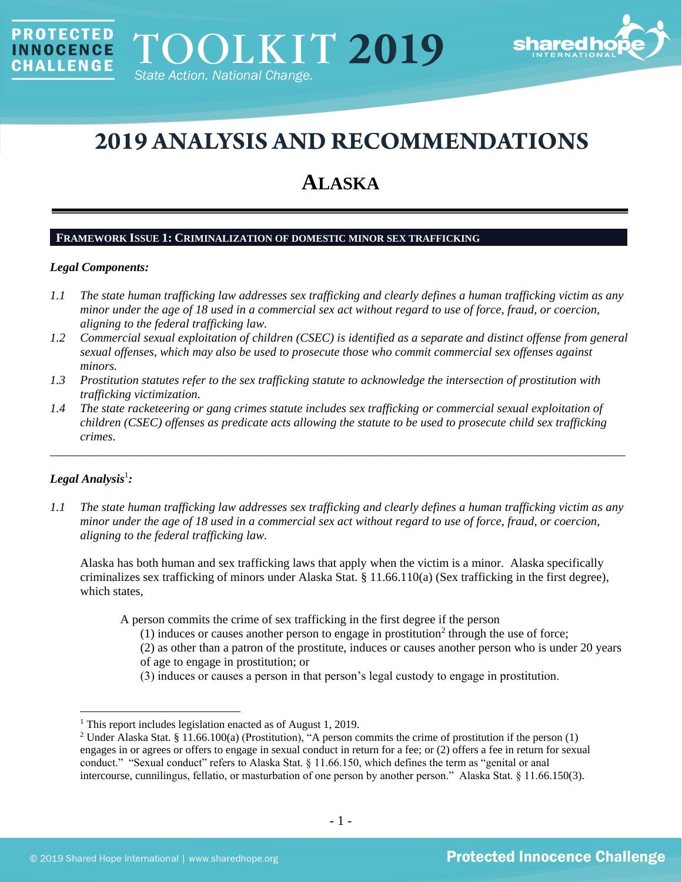

# **2019 ANALYSIS AND RECOMMENDATIONS**

# **ALASKA**

# **FRAMEWORK ISSUE 1: CRIMINALIZATION OF DOMESTIC MINOR SEX TRAFFICKING**

#### *Legal Components:*

**PROTECTED** 

**INNOCENCE CHALLENGE** 

- *1.1 The state human trafficking law addresses sex trafficking and clearly defines a human trafficking victim as any minor under the age of 18 used in a commercial sex act without regard to use of force, fraud, or coercion, aligning to the federal trafficking law.*
- *1.2 Commercial sexual exploitation of children (CSEC) is identified as a separate and distinct offense from general sexual offenses, which may also be used to prosecute those who commit commercial sex offenses against minors.*
- *1.3 Prostitution statutes refer to the sex trafficking statute to acknowledge the intersection of prostitution with trafficking victimization.*
- *1.4 The state racketeering or gang crimes statute includes sex trafficking or commercial sexual exploitation of children (CSEC) offenses as predicate acts allowing the statute to be used to prosecute child sex trafficking crimes.*

\_\_\_\_\_\_\_\_\_\_\_\_\_\_\_\_\_\_\_\_\_\_\_\_\_\_\_\_\_\_\_\_\_\_\_\_\_\_\_\_\_\_\_\_\_\_\_\_\_\_\_\_\_\_\_\_\_\_\_\_\_\_\_\_\_\_\_\_\_\_\_\_\_\_\_\_\_\_\_\_\_\_\_\_\_\_\_\_\_\_\_\_\_\_

# ${\it Legal Analysis^!}$  *:*

*1.1 The state human trafficking law addresses sex trafficking and clearly defines a human trafficking victim as any minor under the age of 18 used in a commercial sex act without regard to use of force, fraud, or coercion, aligning to the federal trafficking law.*

Alaska has both human and sex trafficking laws that apply when the victim is a minor. Alaska specifically criminalizes sex trafficking of minors under Alaska Stat. § 11.66.110(a) (Sex trafficking in the first degree), which states,

A person commits the crime of sex trafficking in the first degree if the person

- (1) induces or causes another person to engage in prostitution<sup>2</sup> through the use of force;
- (2) as other than a patron of the prostitute, induces or causes another person who is under 20 years of age to engage in prostitution; or
- <span id="page-0-0"></span>(3) induces or causes a person in that person's legal custody to engage in prostitution.

<sup>&</sup>lt;sup>1</sup> This report includes legislation enacted as of August 1, 2019.

<sup>&</sup>lt;sup>2</sup> Under Alaska Stat. § 11.66.100(a) (Prostitution), "A person commits the crime of prostitution if the person (1) engages in or agrees or offers to engage in sexual conduct in return for a fee; or (2) offers a fee in return for sexual conduct." "Sexual conduct" refers to Alaska Stat. § 11.66.150, which defines the term as "genital or anal intercourse, cunnilingus, fellatio, or masturbation of one person by another person." Alaska Stat. § 11.66.150(3).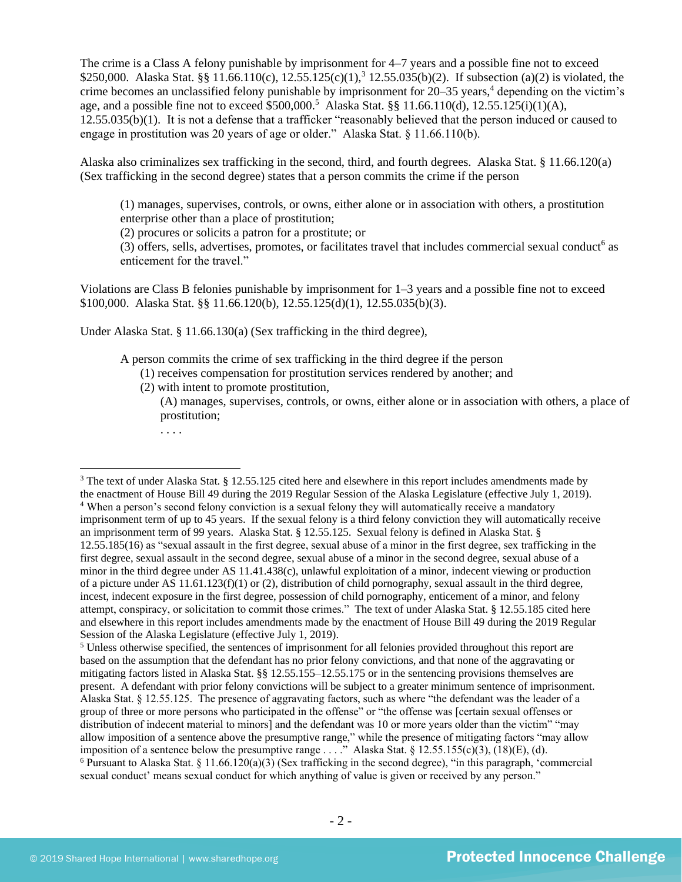The crime is a Class A felony punishable by imprisonment for 4–7 years and a possible fine not to exceed \$250,000. Alaska Stat. §§ 11.66.110(c), 12.55.125(c)(1),<sup>3</sup> 12.55.035(b)(2). If subsection (a)(2) is violated, the crime becomes an unclassified felony punishable by imprisonment for  $20-35$  years,<sup>4</sup> depending on the victim's age, and a possible fine not to exceed  $$500,000$ <sup>5</sup> Alaska Stat. §§ 11.66.110(d), 12.55.125(i)(1)(A), 12.55.035(b)(1). It is not a defense that a trafficker "reasonably believed that the person induced or caused to engage in prostitution was 20 years of age or older." Alaska Stat. § 11.66.110(b).

Alaska also criminalizes sex trafficking in the second, third, and fourth degrees. Alaska Stat. § 11.66.120(a) (Sex trafficking in the second degree) states that a person commits the crime if the person

<span id="page-1-1"></span><span id="page-1-0"></span>(1) manages, supervises, controls, or owns, either alone or in association with others, a prostitution enterprise other than a place of prostitution;

(2) procures or solicits a patron for a prostitute; or

 $(3)$  offers, sells, advertises, promotes, or facilitates travel that includes commercial sexual conduct<sup>6</sup> as enticement for the travel."

Violations are Class B felonies punishable by imprisonment for 1–3 years and a possible fine not to exceed \$100,000. Alaska Stat. §§ 11.66.120(b), 12.55.125(d)(1), 12.55.035(b)(3).

Under Alaska Stat. § 11.66.130(a) (Sex trafficking in the third degree),

A person commits the crime of sex trafficking in the third degree if the person

- (1) receives compensation for prostitution services rendered by another; and
- (2) with intent to promote prostitution,

(A) manages, supervises, controls, or owns, either alone or in association with others, a place of prostitution;

<sup>5</sup> Unless otherwise specified, the sentences of imprisonment for all felonies provided throughout this report are based on the assumption that the defendant has no prior felony convictions, and that none of the aggravating or mitigating factors listed in Alaska Stat. §§ 12.55.155–12.55.175 or in the sentencing provisions themselves are present. A defendant with prior felony convictions will be subject to a greater minimum sentence of imprisonment. Alaska Stat. § 12.55.125. The presence of aggravating factors, such as where "the defendant was the leader of a group of three or more persons who participated in the offense" or "the offense was [certain sexual offenses or distribution of indecent material to minors] and the defendant was 10 or more years older than the victim" "may allow imposition of a sentence above the presumptive range," while the presence of mitigating factors "may allow imposition of a sentence below the presumptive range . . . ." Alaska Stat. § 12.55.155(c)(3), (18)(E), (d).  $6$  Pursuant to Alaska Stat.  $\frac{8}{3}$  11.66.120(a)(3) (Sex trafficking in the second degree), "in this paragraph, 'commercial sexual conduct' means sexual conduct for which anything of value is given or received by any person."

<sup>. . . .</sup>

<sup>&</sup>lt;sup>3</sup> The text of under Alaska Stat. § 12.55.125 cited here and elsewhere in this report includes amendments made by the enactment of House Bill 49 during the 2019 Regular Session of the Alaska Legislature (effective July 1, 2019). <sup>4</sup> When a person's second felony conviction is a sexual felony they will automatically receive a mandatory imprisonment term of up to 45 years. If the sexual felony is a third felony conviction they will automatically receive an imprisonment term of 99 years. Alaska Stat. § 12.55.125. Sexual felony is defined in Alaska Stat. § 12.55.185(16) as "sexual assault in the first degree, sexual abuse of a minor in the first degree, sex trafficking in the first degree, sexual assault in the second degree, sexual abuse of a minor in the second degree, sexual abuse of a minor in the third degree under AS 11.41.438(c), unlawful exploitation of a minor, indecent viewing or production of a picture under AS 11.61.123(f)(1) or (2), distribution of child pornography, sexual assault in the third degree, incest, indecent exposure in the first degree, possession of child pornography, enticement of a minor, and felony attempt, conspiracy, or solicitation to commit those crimes." The text of under Alaska Stat. § 12.55.185 cited here and elsewhere in this report includes amendments made by the enactment of House Bill 49 during the 2019 Regular Session of the Alaska Legislature (effective July 1, 2019).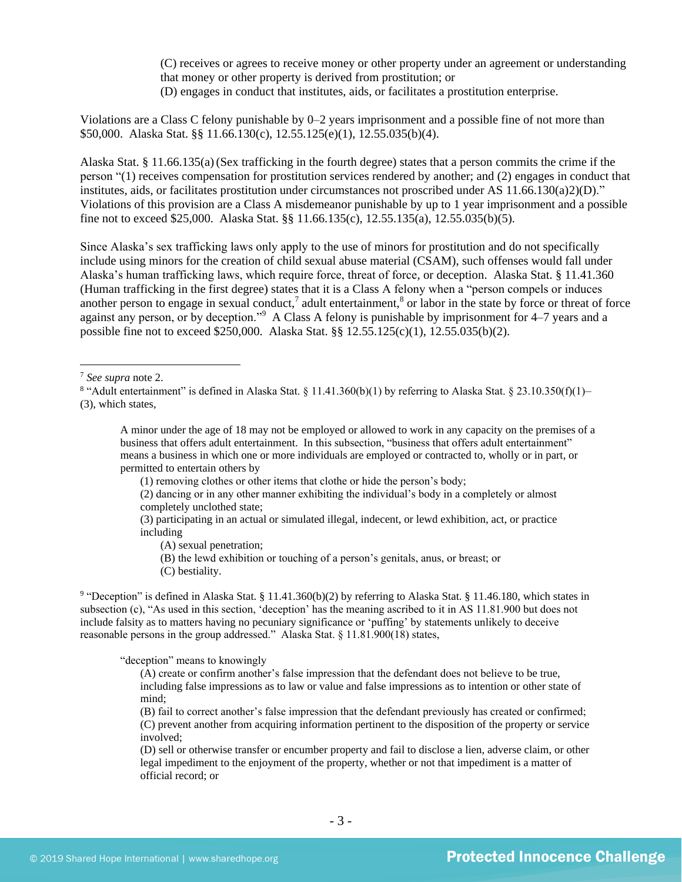(C) receives or agrees to receive money or other property under an agreement or understanding that money or other property is derived from prostitution; or (D) engages in conduct that institutes, aids, or facilitates a prostitution enterprise.

Violations are a Class C felony punishable by 0–2 years imprisonment and a possible fine of not more than \$50,000. Alaska Stat. §§ 11.66.130(c), 12.55.125(e)(1), 12.55.035(b)(4).

Alaska Stat. § 11.66.135(a)(Sex trafficking in the fourth degree) states that a person commits the crime if the person "(1) receives compensation for prostitution services rendered by another; and (2) engages in conduct that institutes, aids, or facilitates prostitution under circumstances not proscribed under AS 11.66.130(a)2)(D)." Violations of this provision are a Class A misdemeanor punishable by up to 1 year imprisonment and a possible fine not to exceed \$25,000. Alaska Stat. §§ 11.66.135(c), 12.55.135(a), 12.55.035(b)(5).

Since Alaska's sex trafficking laws only apply to the use of minors for prostitution and do not specifically include using minors for the creation of child sexual abuse material (CSAM), such offenses would fall under Alaska's human trafficking laws, which require force, threat of force, or deception. Alaska Stat. § 11.41.360 (Human trafficking in the first degree) states that it is a Class A felony when a "person compels or induces another person to engage in sexual conduct,<sup>7</sup> adult entertainment,<sup>8</sup> or labor in the state by force or threat of force against any person, or by deception."<sup>9</sup> A Class A felony is punishable by imprisonment for 4–7 years and a possible fine not to exceed \$250,000. Alaska Stat. §§ 12.55.125(c)(1), 12.55.035(b)(2).

- (A) sexual penetration;
- (B) the lewd exhibition or touching of a person's genitals, anus, or breast; or
- (C) bestiality.

<sup>9</sup> "Deception" is defined in Alaska Stat. § 11.41.360(b)(2) by referring to Alaska Stat. § 11.46.180, which states in subsection (c), "As used in this section, 'deception' has the meaning ascribed to it in AS 11.81.900 but does not include falsity as to matters having no pecuniary significance or 'puffing' by statements unlikely to deceive reasonable persons in the group addressed." Alaska Stat. § 11.81.900(18) states,

"deception" means to knowingly

(A) create or confirm another's false impression that the defendant does not believe to be true, including false impressions as to law or value and false impressions as to intention or other state of mind;

(B) fail to correct another's false impression that the defendant previously has created or confirmed; (C) prevent another from acquiring information pertinent to the disposition of the property or service involved;

(D) sell or otherwise transfer or encumber property and fail to disclose a lien, adverse claim, or other legal impediment to the enjoyment of the property, whether or not that impediment is a matter of official record; or

<sup>7</sup> *See supra* note [2.](#page-0-0)

<sup>&</sup>lt;sup>8</sup> "Adult entertainment" is defined in Alaska Stat. § 11.41.360(b)(1) by referring to Alaska Stat. § 23.10.350(f)(1)-(3), which states,

A minor under the age of 18 may not be employed or allowed to work in any capacity on the premises of a business that offers adult entertainment. In this subsection, "business that offers adult entertainment" means a business in which one or more individuals are employed or contracted to, wholly or in part, or permitted to entertain others by

<sup>(1)</sup> removing clothes or other items that clothe or hide the person's body;

<sup>(2)</sup> dancing or in any other manner exhibiting the individual's body in a completely or almost completely unclothed state;

<sup>(3)</sup> participating in an actual or simulated illegal, indecent, or lewd exhibition, act, or practice including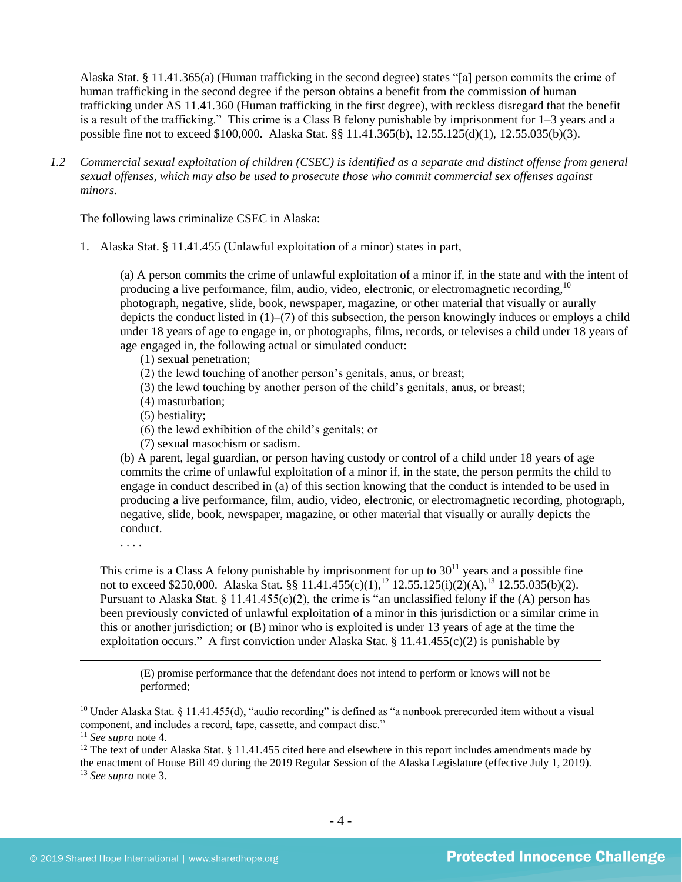Alaska Stat. § 11.41.365(a) (Human trafficking in the second degree) states "[a] person commits the crime of human trafficking in the second degree if the person obtains a benefit from the commission of human trafficking under AS 11.41.360 (Human trafficking in the first degree), with reckless disregard that the benefit is a result of the trafficking." This crime is a Class B felony punishable by imprisonment for 1–3 years and a possible fine not to exceed \$100,000. Alaska Stat. §§ 11.41.365(b), 12.55.125(d)(1), 12.55.035(b)(3).

*1.2 Commercial sexual exploitation of children (CSEC) is identified as a separate and distinct offense from general sexual offenses, which may also be used to prosecute those who commit commercial sex offenses against minors.*

The following laws criminalize CSEC in Alaska:

1. Alaska Stat. § 11.41.455 (Unlawful exploitation of a minor) states in part,

(a) A person commits the crime of unlawful exploitation of a minor if, in the state and with the intent of producing a live performance, film, audio, video, electronic, or electromagnetic recording, <sup>10</sup> photograph, negative, slide, book, newspaper, magazine, or other material that visually or aurally depicts the conduct listed in (1)–(7) of this subsection, the person knowingly induces or employs a child under 18 years of age to engage in, or photographs, films, records, or televises a child under 18 years of age engaged in, the following actual or simulated conduct:

- (1) sexual penetration;
- (2) the lewd touching of another person's genitals, anus, or breast;
- (3) the lewd touching by another person of the child's genitals, anus, or breast;
- (4) masturbation;
- (5) bestiality;
- (6) the lewd exhibition of the child's genitals; or
- (7) sexual masochism or sadism.

(b) A parent, legal guardian, or person having custody or control of a child under 18 years of age commits the crime of unlawful exploitation of a minor if, in the state, the person permits the child to engage in conduct described in (a) of this section knowing that the conduct is intended to be used in producing a live performance, film, audio, video, electronic, or electromagnetic recording, photograph, negative, slide, book, newspaper, magazine, or other material that visually or aurally depicts the conduct.

. . . .

This crime is a Class A felony punishable by imprisonment for up to  $30<sup>11</sup>$  years and a possible fine not to exceed \$250,000. Alaska Stat. §§ 11.41.455(c)(1),<sup>12</sup> 12.55.125(i)(2)(A),<sup>13</sup> 12.55.035(b)(2). Pursuant to Alaska Stat.  $\S 11.41.455(c)(2)$ , the crime is "an unclassified felony if the (A) person has been previously convicted of unlawful exploitation of a minor in this jurisdiction or a similar crime in this or another jurisdiction; or (B) minor who is exploited is under 13 years of age at the time the exploitation occurs." A first conviction under Alaska Stat.  $\S 11.41.455(c)(2)$  is punishable by

<span id="page-3-0"></span>(E) promise performance that the defendant does not intend to perform or knows will not be performed;

<sup>12</sup> The text of under Alaska Stat. § 11.41.455 cited here and elsewhere in this report includes amendments made by the enactment of House Bill 49 during the 2019 Regular Session of the Alaska Legislature (effective July 1, 2019).

<sup>13</sup> *See supra* note [3.](#page-1-1)

<sup>&</sup>lt;sup>10</sup> Under Alaska Stat. § 11.41.455(d), "audio recording" is defined as "a nonbook prerecorded item without a visual component, and includes a record, tape, cassette, and compact disc."

<sup>11</sup> *See supra* note [4.](#page-1-0)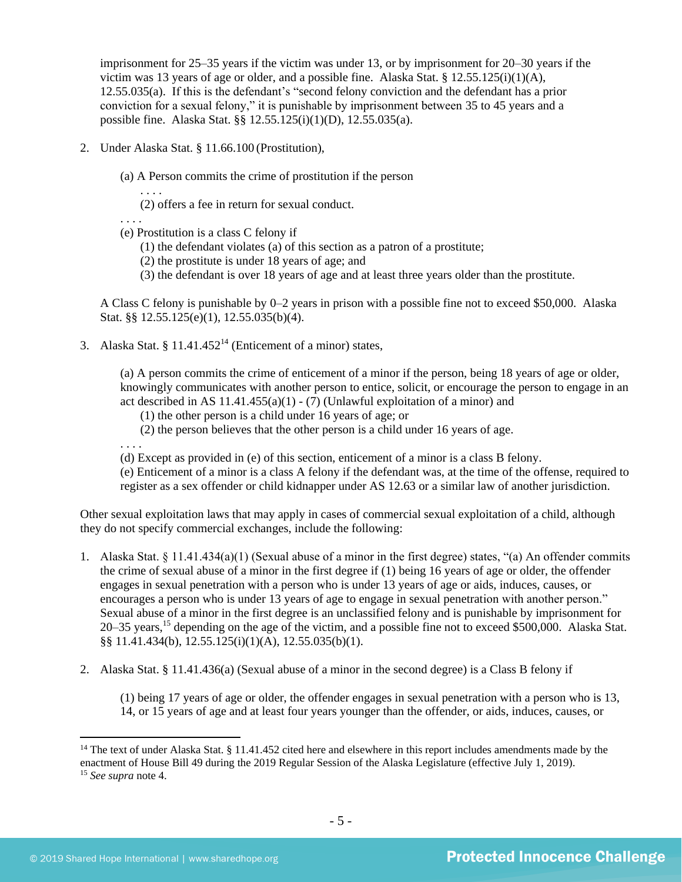imprisonment for 25–35 years if the victim was under 13, or by imprisonment for 20–30 years if the victim was 13 years of age or older, and a possible fine. Alaska Stat. §  $12.55.125(i)(1)(A)$ , 12.55.035(a). If this is the defendant's "second felony conviction and the defendant has a prior conviction for a sexual felony," it is punishable by imprisonment between 35 to 45 years and a possible fine. Alaska Stat. §§ 12.55.125(i)(1)(D), 12.55.035(a).

- 2. Under Alaska Stat. § 11.66.100 (Prostitution),
	- (a) A Person commits the crime of prostitution if the person

. . . .

(2) offers a fee in return for sexual conduct.

. . . .

- (e) Prostitution is a class C felony if
	- (1) the defendant violates (a) of this section as a patron of a prostitute;
	- (2) the prostitute is under 18 years of age; and
	- (3) the defendant is over 18 years of age and at least three years older than the prostitute.

A Class C felony is punishable by 0–2 years in prison with a possible fine not to exceed \$50,000. Alaska Stat. §§ 12.55.125(e)(1), 12.55.035(b)(4).

3. Alaska Stat. § 11.41.452<sup>14</sup> (Enticement of a minor) states,

<span id="page-4-0"></span>(a) A person commits the crime of enticement of a minor if the person, being 18 years of age or older, knowingly communicates with another person to entice, solicit, or encourage the person to engage in an act described in AS  $11.41.455(a)(1) - (7)$  (Unlawful exploitation of a minor) and

- (1) the other person is a child under 16 years of age; or
- (2) the person believes that the other person is a child under 16 years of age.

. . . .

(d) Except as provided in (e) of this section, enticement of a minor is a class B felony.

(e) Enticement of a minor is a class A felony if the defendant was, at the time of the offense, required to register as a sex offender or child kidnapper under AS 12.63 or a similar law of another jurisdiction.

Other sexual exploitation laws that may apply in cases of commercial sexual exploitation of a child, although they do not specify commercial exchanges, include the following:

- 1. Alaska Stat. § 11.41.434(a)(1) (Sexual abuse of a minor in the first degree) states, "(a) An offender commits the crime of sexual abuse of a minor in the first degree if (1) being 16 years of age or older, the offender engages in sexual penetration with a person who is under 13 years of age or aids, induces, causes, or encourages a person who is under 13 years of age to engage in sexual penetration with another person." Sexual abuse of a minor in the first degree is an unclassified felony and is punishable by imprisonment for 20–35 years,<sup>15</sup> depending on the age of the victim, and a possible fine not to exceed \$500,000. Alaska Stat. §§ 11.41.434(b), 12.55.125(i)(1)(A), 12.55.035(b)(1).
- 2. Alaska Stat. § 11.41.436(a) (Sexual abuse of a minor in the second degree) is a Class B felony if

(1) being 17 years of age or older, the offender engages in sexual penetration with a person who is 13, 14, or 15 years of age and at least four years younger than the offender, or aids, induces, causes, or

<sup>&</sup>lt;sup>14</sup> The text of under Alaska Stat.  $\S 11.41.452$  cited here and elsewhere in this report includes amendments made by the enactment of House Bill 49 during the 2019 Regular Session of the Alaska Legislature (effective July 1, 2019). <sup>15</sup> *See supra* note [4.](#page-1-0)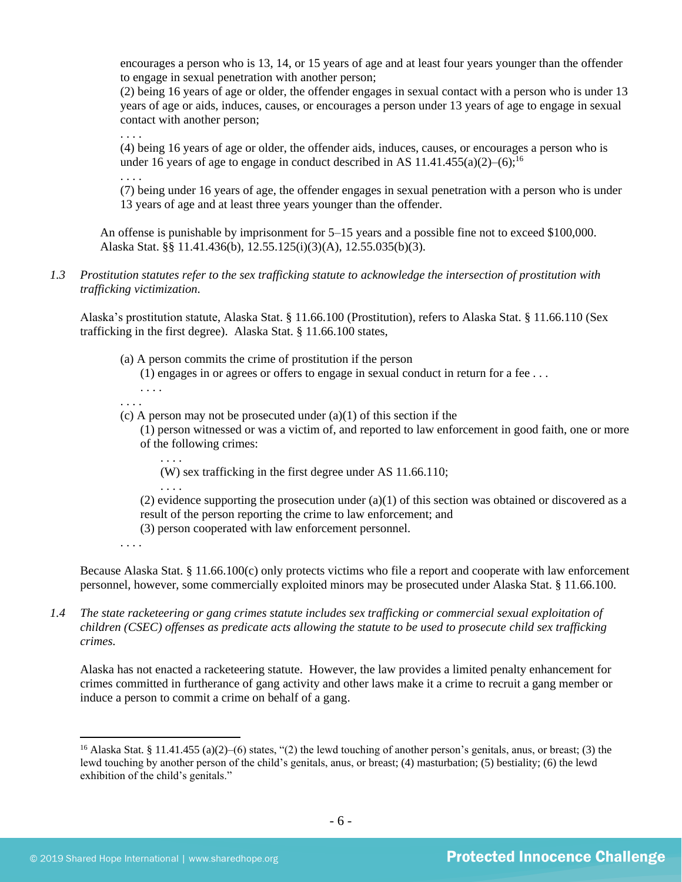encourages a person who is 13, 14, or 15 years of age and at least four years younger than the offender to engage in sexual penetration with another person;

(2) being 16 years of age or older, the offender engages in sexual contact with a person who is under 13 years of age or aids, induces, causes, or encourages a person under 13 years of age to engage in sexual contact with another person;

(4) being 16 years of age or older, the offender aids, induces, causes, or encourages a person who is under 16 years of age to engage in conduct described in AS  $11.41.455(a)(2)$ –(6);<sup>16</sup>

(7) being under 16 years of age, the offender engages in sexual penetration with a person who is under 13 years of age and at least three years younger than the offender.

An offense is punishable by imprisonment for 5–15 years and a possible fine not to exceed \$100,000. Alaska Stat. §§ 11.41.436(b), 12.55.125(i)(3)(A), 12.55.035(b)(3).

*1.3 Prostitution statutes refer to the sex trafficking statute to acknowledge the intersection of prostitution with trafficking victimization.* 

Alaska's prostitution statute, Alaska Stat. § 11.66.100 (Prostitution), refers to Alaska Stat. § 11.66.110 (Sex trafficking in the first degree). Alaska Stat. § 11.66.100 states,

- (a) A person commits the crime of prostitution if the person
	- (1) engages in or agrees or offers to engage in sexual conduct in return for a fee . . .
	- . . . .

. . . .

. . . .

. . . .

(c) A person may not be prosecuted under  $(a)(1)$  of this section if the

(1) person witnessed or was a victim of, and reported to law enforcement in good faith, one or more of the following crimes:

. . . .

(W) sex trafficking in the first degree under AS 11.66.110;

. . . .

(2) evidence supporting the prosecution under  $(a)(1)$  of this section was obtained or discovered as a result of the person reporting the crime to law enforcement; and (3) person cooperated with law enforcement personnel.

. . . .

Because Alaska Stat. § 11.66.100(c) only protects victims who file a report and cooperate with law enforcement personnel, however, some commercially exploited minors may be prosecuted under Alaska Stat. § 11.66.100.

*1.4 The state racketeering or gang crimes statute includes sex trafficking or commercial sexual exploitation of children (CSEC) offenses as predicate acts allowing the statute to be used to prosecute child sex trafficking crimes.* 

Alaska has not enacted a racketeering statute. However, the law provides a limited penalty enhancement for crimes committed in furtherance of gang activity and other laws make it a crime to recruit a gang member or induce a person to commit a crime on behalf of a gang.

<sup>&</sup>lt;sup>16</sup> Alaska Stat. § 11.41.455 (a)(2)–(6) states, "(2) the lewd touching of another person's genitals, anus, or breast; (3) the lewd touching by another person of the child's genitals, anus, or breast; (4) masturbation; (5) bestiality; (6) the lewd exhibition of the child's genitals."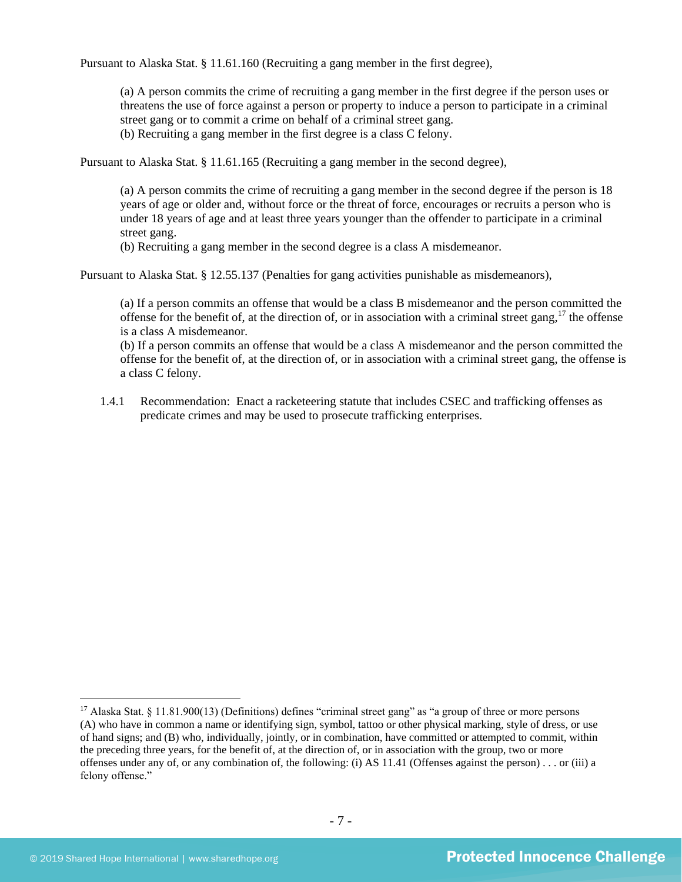Pursuant to Alaska Stat. § 11.61.160 (Recruiting a gang member in the first degree),

(a) A person commits the crime of recruiting a gang member in the first degree if the person uses or threatens the use of force against a person or property to induce a person to participate in a criminal street gang or to commit a crime on behalf of a criminal street gang. (b) Recruiting a gang member in the first degree is a class C felony.

Pursuant to Alaska Stat. § 11.61.165 (Recruiting a gang member in the second degree),

(a) A person commits the crime of recruiting a gang member in the second degree if the person is 18 years of age or older and, without force or the threat of force, encourages or recruits a person who is under 18 years of age and at least three years younger than the offender to participate in a criminal street gang.

(b) Recruiting a gang member in the second degree is a class A misdemeanor.

Pursuant to Alaska Stat. § 12.55.137 (Penalties for gang activities punishable as misdemeanors),

(a) If a person commits an offense that would be a class B misdemeanor and the person committed the offense for the benefit of, at the direction of, or in association with a criminal street gang,  $17$  the offense is a class A misdemeanor.

(b) If a person commits an offense that would be a class A misdemeanor and the person committed the offense for the benefit of, at the direction of, or in association with a criminal street gang, the offense is a class C felony.

1.4.1 Recommendation: Enact a racketeering statute that includes CSEC and trafficking offenses as predicate crimes and may be used to prosecute trafficking enterprises.

<sup>&</sup>lt;sup>17</sup> Alaska Stat. § 11.81.900(13) (Definitions) defines "criminal street gang" as "a group of three or more persons (A) who have in common a name or identifying sign, symbol, tattoo or other physical marking, style of dress, or use of hand signs; and (B) who, individually, jointly, or in combination, have committed or attempted to commit, within the preceding three years, for the benefit of, at the direction of, or in association with the group, two or more offenses under any of, or any combination of, the following: (i) AS 11.41 (Offenses against the person) . . . or (iii) a felony offense."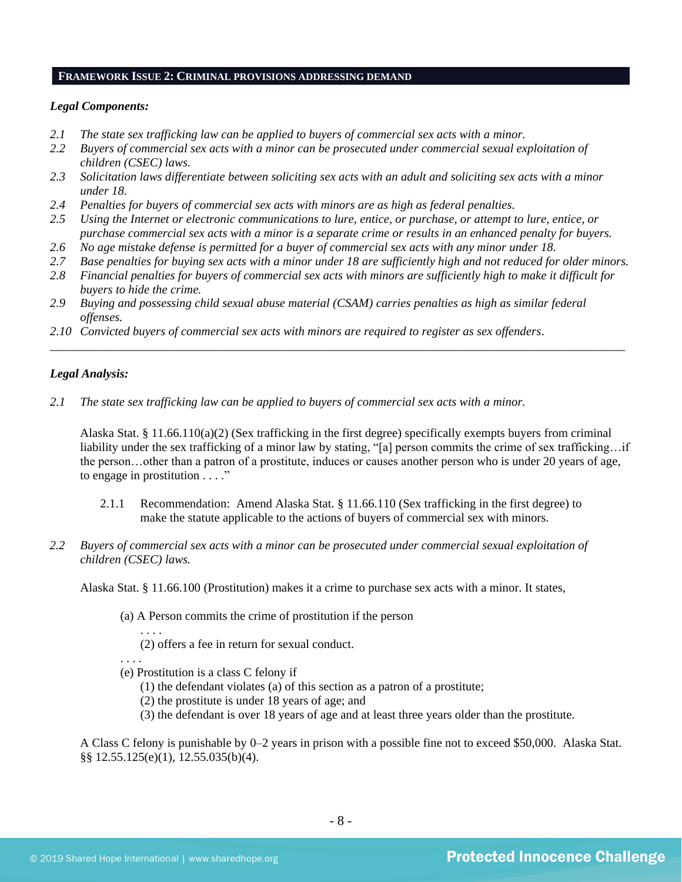#### **FRAMEWORK ISSUE 2: CRIMINAL PROVISIONS ADDRESSING DEMAND**

#### *Legal Components:*

- *2.1 The state sex trafficking law can be applied to buyers of commercial sex acts with a minor.*
- *2.2 Buyers of commercial sex acts with a minor can be prosecuted under commercial sexual exploitation of children (CSEC) laws.*
- *2.3 Solicitation laws differentiate between soliciting sex acts with an adult and soliciting sex acts with a minor under 18.*
- *2.4 Penalties for buyers of commercial sex acts with minors are as high as federal penalties.*
- *2.5 Using the Internet or electronic communications to lure, entice, or purchase, or attempt to lure, entice, or purchase commercial sex acts with a minor is a separate crime or results in an enhanced penalty for buyers.*
- *2.6 No age mistake defense is permitted for a buyer of commercial sex acts with any minor under 18.*
- *2.7 Base penalties for buying sex acts with a minor under 18 are sufficiently high and not reduced for older minors.*
- *2.8 Financial penalties for buyers of commercial sex acts with minors are sufficiently high to make it difficult for buyers to hide the crime.*

\_\_\_\_\_\_\_\_\_\_\_\_\_\_\_\_\_\_\_\_\_\_\_\_\_\_\_\_\_\_\_\_\_\_\_\_\_\_\_\_\_\_\_\_\_\_\_\_\_\_\_\_\_\_\_\_\_\_\_\_\_\_\_\_\_\_\_\_\_\_\_\_\_\_\_\_\_\_\_\_\_\_\_\_\_\_\_\_\_\_\_\_\_\_

- *2.9 Buying and possessing child sexual abuse material (CSAM) carries penalties as high as similar federal offenses.*
- *2.10 Convicted buyers of commercial sex acts with minors are required to register as sex offenders*.

#### *Legal Analysis:*

*2.1 The state sex trafficking law can be applied to buyers of commercial sex acts with a minor.*

Alaska Stat. § 11.66.110(a)(2) (Sex trafficking in the first degree) specifically exempts buyers from criminal liability under the sex trafficking of a minor law by stating, "[a] person commits the crime of sex trafficking...if the person…other than a patron of a prostitute, induces or causes another person who is under 20 years of age, to engage in prostitution . . . ."

- 2.1.1 Recommendation: Amend Alaska Stat. § 11.66.110 (Sex trafficking in the first degree) to make the statute applicable to the actions of buyers of commercial sex with minors.
- *2.2 Buyers of commercial sex acts with a minor can be prosecuted under commercial sexual exploitation of children (CSEC) laws.*

Alaska Stat. § 11.66.100 (Prostitution) makes it a crime to purchase sex acts with a minor. It states,

(a) A Person commits the crime of prostitution if the person

(2) offers a fee in return for sexual conduct.

. . . .

. . . .

(e) Prostitution is a class C felony if

(1) the defendant violates (a) of this section as a patron of a prostitute;

(2) the prostitute is under 18 years of age; and

(3) the defendant is over 18 years of age and at least three years older than the prostitute.

A Class C felony is punishable by 0–2 years in prison with a possible fine not to exceed \$50,000. Alaska Stat. §§ 12.55.125(e)(1), 12.55.035(b)(4).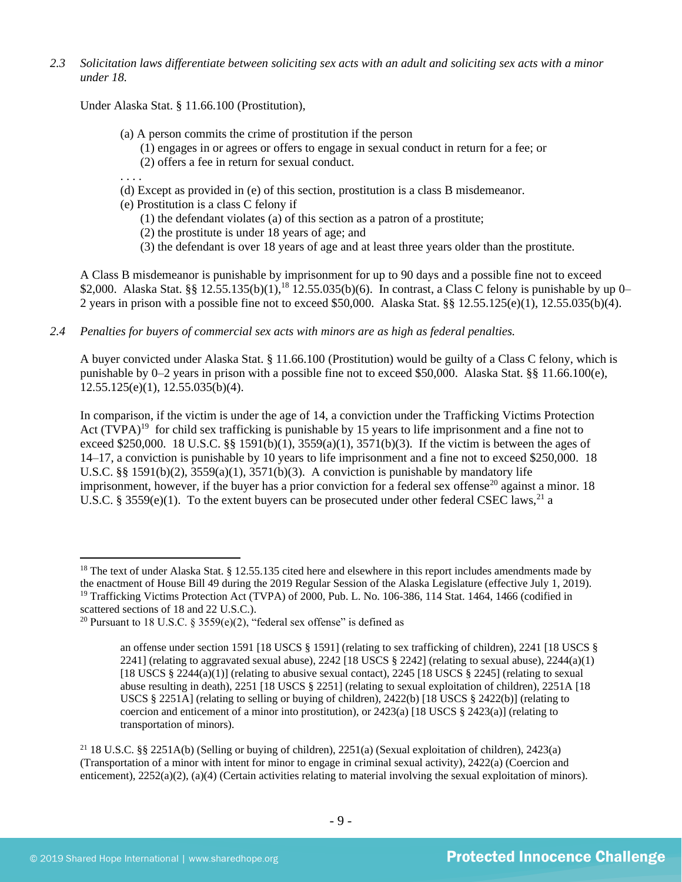*2.3 Solicitation laws differentiate between soliciting sex acts with an adult and soliciting sex acts with a minor under 18.*

Under Alaska Stat. § 11.66.100 (Prostitution),

- (a) A person commits the crime of prostitution if the person
	- (1) engages in or agrees or offers to engage in sexual conduct in return for a fee; or
	- (2) offers a fee in return for sexual conduct.
- . . . .
- (d) Except as provided in (e) of this section, prostitution is a class B misdemeanor.
- (e) Prostitution is a class C felony if
	- (1) the defendant violates (a) of this section as a patron of a prostitute;
	- (2) the prostitute is under 18 years of age; and
	- (3) the defendant is over 18 years of age and at least three years older than the prostitute.

A Class B misdemeanor is punishable by imprisonment for up to 90 days and a possible fine not to exceed \$2,000. Alaska Stat. §§ 12.55.135(b)(1),<sup>18</sup> 12.55.035(b)(6). In contrast, a Class C felony is punishable by up 0– 2 years in prison with a possible fine not to exceed \$50,000. Alaska Stat. §§ 12.55.125(e)(1), 12.55.035(b)(4).

*2.4 Penalties for buyers of commercial sex acts with minors are as high as federal penalties.*

A buyer convicted under Alaska Stat. § 11.66.100 (Prostitution) would be guilty of a Class C felony, which is punishable by 0–2 years in prison with a possible fine not to exceed \$50,000. Alaska Stat. §§ 11.66.100(e), 12.55.125(e)(1), 12.55.035(b)(4).

<span id="page-8-0"></span>In comparison, if the victim is under the age of 14, a conviction under the Trafficking Victims Protection Act  $(TVPA)^{19}$  for child sex trafficking is punishable by 15 years to life imprisonment and a fine not to exceed \$250,000. 18 U.S.C. §§ 1591(b)(1), 3559(a)(1), 3571(b)(3). If the victim is between the ages of 14–17, a conviction is punishable by 10 years to life imprisonment and a fine not to exceed \$250,000. 18 U.S.C. §§ 1591(b)(2),  $3559(a)(1)$ ,  $3571(b)(3)$ . A conviction is punishable by mandatory life imprisonment, however, if the buyer has a prior conviction for a federal sex offense<sup>20</sup> against a minor. 18 U.S.C. § 3559(e)(1). To the extent buyers can be prosecuted under other federal CSEC laws,<sup>21</sup> a

<sup>&</sup>lt;sup>18</sup> The text of under Alaska Stat. § 12.55.135 cited here and elsewhere in this report includes amendments made by the enactment of House Bill 49 during the 2019 Regular Session of the Alaska Legislature (effective July 1, 2019). <sup>19</sup> Trafficking Victims Protection Act (TVPA) of 2000, Pub. L. No. 106-386, 114 Stat. 1464, 1466 (codified in scattered sections of 18 and 22 U.S.C.).

<sup>&</sup>lt;sup>20</sup> Pursuant to 18 U.S.C. § 3559(e)(2), "federal sex offense" is defined as

<span id="page-8-1"></span>an offense under section 1591 [18 USCS § 1591] (relating to sex trafficking of children), 2241 [18 USCS § 2241] (relating to aggravated sexual abuse), 2242 [18 USCS  $\S$  2242] (relating to sexual abuse), 2244(a)(1) [18 USCS § 2244(a)(1)] (relating to abusive sexual contact), 2245 [18 USCS § 2245] (relating to sexual abuse resulting in death), 2251 [18 USCS § 2251] (relating to sexual exploitation of children), 2251A [18 USCS § 2251A] (relating to selling or buying of children), 2422(b) [18 USCS § 2422(b)] (relating to coercion and enticement of a minor into prostitution), or  $2423(a)$  [18 USCS §  $2423(a)$ ] (relating to transportation of minors).

<sup>&</sup>lt;sup>21</sup> 18 U.S.C. §§ 2251A(b) (Selling or buying of children), 2251(a) (Sexual exploitation of children), 2423(a) (Transportation of a minor with intent for minor to engage in criminal sexual activity), 2422(a) (Coercion and enticement), 2252(a)(2), (a)(4) (Certain activities relating to material involving the sexual exploitation of minors).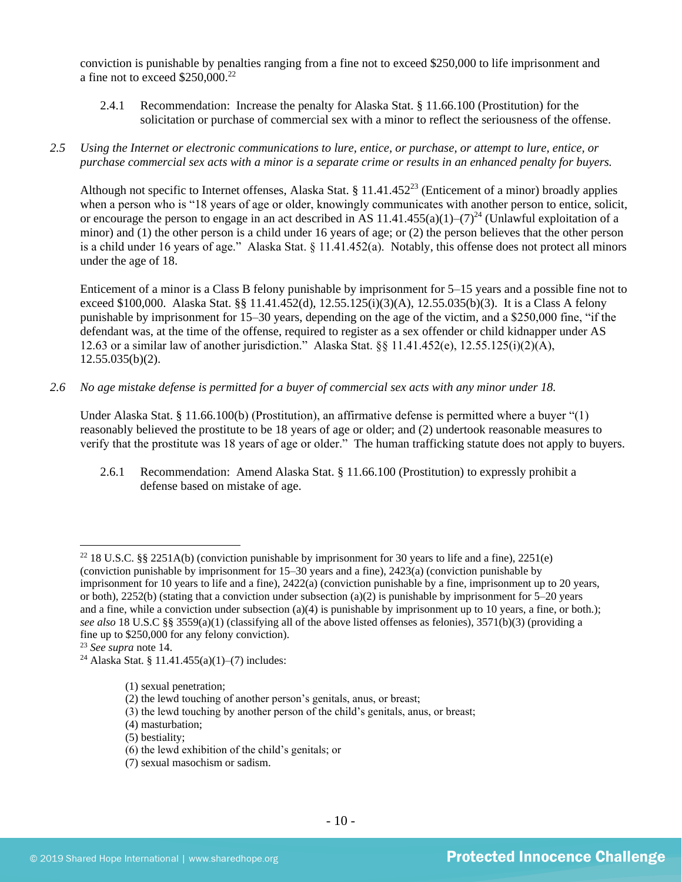conviction is punishable by penalties ranging from a fine not to exceed \$250,000 to life imprisonment and a fine not to exceed  $$250,000.<sup>22</sup>$ 

- 2.4.1 Recommendation: Increase the penalty for Alaska Stat. § 11.66.100 (Prostitution) for the solicitation or purchase of commercial sex with a minor to reflect the seriousness of the offense.
- *2.5 Using the Internet or electronic communications to lure, entice, or purchase, or attempt to lure, entice, or purchase commercial sex acts with a minor is a separate crime or results in an enhanced penalty for buyers.*

Although not specific to Internet offenses, Alaska Stat. § 11.41.452<sup>23</sup> (Enticement of a minor) broadly applies when a person who is "18 years of age or older, knowingly communicates with another person to entice, solicit, or encourage the person to engage in an act described in AS 11.41.455(a)(1)–(7)<sup>24</sup> (Unlawful exploitation of a minor) and (1) the other person is a child under 16 years of age; or (2) the person believes that the other person is a child under 16 years of age." Alaska Stat. § 11.41.452(a). Notably, this offense does not protect all minors under the age of 18.

Enticement of a minor is a Class B felony punishable by imprisonment for 5–15 years and a possible fine not to exceed \$100,000. Alaska Stat. §§ 11.41.452(d), 12.55.125(i)(3)(A), 12.55.035(b)(3). It is a Class A felony punishable by imprisonment for 15–30 years, depending on the age of the victim, and a \$250,000 fine, "if the defendant was, at the time of the offense, required to register as a sex offender or child kidnapper under AS 12.63 or a similar law of another jurisdiction." Alaska Stat. §§ 11.41.452(e), 12.55.125(i)(2)(A), 12.55.035(b)(2).

*2.6 No age mistake defense is permitted for a buyer of commercial sex acts with any minor under 18.*

Under Alaska Stat. § 11.66.100(b) (Prostitution), an affirmative defense is permitted where a buyer "(1) reasonably believed the prostitute to be 18 years of age or older; and (2) undertook reasonable measures to verify that the prostitute was 18 years of age or older." The human trafficking statute does not apply to buyers.

2.6.1 Recommendation: Amend Alaska Stat. § 11.66.100 (Prostitution) to expressly prohibit a defense based on mistake of age.

<sup>22</sup> 18 U.S.C. §§ 2251A(b) (conviction punishable by imprisonment for 30 years to life and a fine), 2251(e) (conviction punishable by imprisonment for 15–30 years and a fine), 2423(a) (conviction punishable by imprisonment for 10 years to life and a fine), 2422(a) (conviction punishable by a fine, imprisonment up to 20 years, or both), 2252(b) (stating that a conviction under subsection (a)(2) is punishable by imprisonment for  $5-20$  years and a fine, while a conviction under subsection (a)(4) is punishable by imprisonment up to 10 years, a fine, or both.); *see also* 18 U.S.C §§ 3559(a)(1) (classifying all of the above listed offenses as felonies), 3571(b)(3) (providing a fine up to \$250,000 for any felony conviction).

(5) bestiality;

(7) sexual masochism or sadism.

<sup>23</sup> *See supra* note [14.](#page-4-0)

<sup>&</sup>lt;sup>24</sup> Alaska Stat. § 11.41.455(a)(1)–(7) includes:

<sup>(1)</sup> sexual penetration;

<sup>(2)</sup> the lewd touching of another person's genitals, anus, or breast;

<sup>(3)</sup> the lewd touching by another person of the child's genitals, anus, or breast;

<sup>(4)</sup> masturbation;

<sup>(6)</sup> the lewd exhibition of the child's genitals; or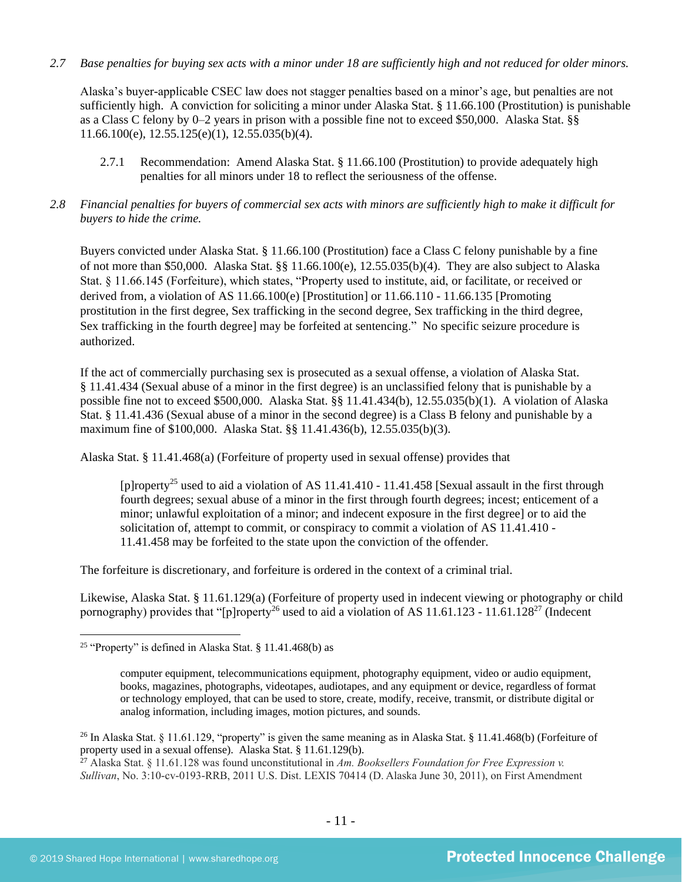# *2.7 Base penalties for buying sex acts with a minor under 18 are sufficiently high and not reduced for older minors.*

Alaska's buyer-applicable CSEC law does not stagger penalties based on a minor's age, but penalties are not sufficiently high. A conviction for soliciting a minor under Alaska Stat. § 11.66.100 (Prostitution) is punishable as a Class C felony by 0–2 years in prison with a possible fine not to exceed \$50,000. Alaska Stat. §§ 11.66.100(e), 12.55.125(e)(1), 12.55.035(b)(4).

- 2.7.1 Recommendation: Amend Alaska Stat. § 11.66.100 (Prostitution) to provide adequately high penalties for all minors under 18 to reflect the seriousness of the offense.
- *2.8 Financial penalties for buyers of commercial sex acts with minors are sufficiently high to make it difficult for buyers to hide the crime.*

Buyers convicted under Alaska Stat. § 11.66.100 (Prostitution) face a Class C felony punishable by a fine of not more than \$50,000. Alaska Stat. §§ 11.66.100(e), 12.55.035(b)(4). They are also subject to Alaska Stat. § 11.66.145 (Forfeiture), which states, "Property used to institute, aid, or facilitate, or received or derived from, a violation of AS 11.66.100(e) [Prostitution] or 11.66.110 - 11.66.135 [Promoting prostitution in the first degree, Sex trafficking in the second degree, Sex trafficking in the third degree, Sex trafficking in the fourth degree] may be forfeited at sentencing." No specific seizure procedure is authorized.

If the act of commercially purchasing sex is prosecuted as a sexual offense, a violation of Alaska Stat. § 11.41.434 (Sexual abuse of a minor in the first degree) is an unclassified felony that is punishable by a possible fine not to exceed \$500,000. Alaska Stat. §§ 11.41.434(b), 12.55.035(b)(1). A violation of Alaska Stat. § 11.41.436 (Sexual abuse of a minor in the second degree) is a Class B felony and punishable by a maximum fine of \$100,000. Alaska Stat. §§ 11.41.436(b), 12.55.035(b)(3).

Alaska Stat. § 11.41.468(a) (Forfeiture of property used in sexual offense) provides that

<span id="page-10-0"></span>[p]roperty<sup>25</sup> used to aid a violation of AS 11.41.410 - 11.41.458 [Sexual assault in the first through fourth degrees; sexual abuse of a minor in the first through fourth degrees; incest; enticement of a minor; unlawful exploitation of a minor; and indecent exposure in the first degree] or to aid the solicitation of, attempt to commit, or conspiracy to commit a violation of AS 11.41.410 - 11.41.458 may be forfeited to the state upon the conviction of the offender.

The forfeiture is discretionary, and forfeiture is ordered in the context of a criminal trial.

Likewise, Alaska Stat. § 11.61.129(a) (Forfeiture of property used in indecent viewing or photography or child pornography) provides that "[p]roperty<sup>26</sup> used to aid a violation of AS 11.61.123 - 11.61.128<sup>27</sup> (Indecent

<sup>&</sup>lt;sup>25</sup> "Property" is defined in Alaska Stat. § 11.41.468(b) as

<span id="page-10-1"></span>computer equipment, telecommunications equipment, photography equipment, video or audio equipment, books, magazines, photographs, videotapes, audiotapes, and any equipment or device, regardless of format or technology employed, that can be used to store, create, modify, receive, transmit, or distribute digital or analog information, including images, motion pictures, and sounds.

<sup>&</sup>lt;sup>26</sup> In Alaska Stat. § 11.61.129, "property" is given the same meaning as in Alaska Stat. § 11.41.468(b) (Forfeiture of property used in a sexual offense). Alaska Stat. § 11.61.129(b).

<sup>27</sup> Alaska Stat. § 11.61.128 was found unconstitutional in *Am. Booksellers Foundation for Free Expression v. Sullivan*, No. 3:10-cv-0193-RRB, 2011 U.S. Dist. LEXIS 70414 (D. Alaska June 30, 2011), on First Amendment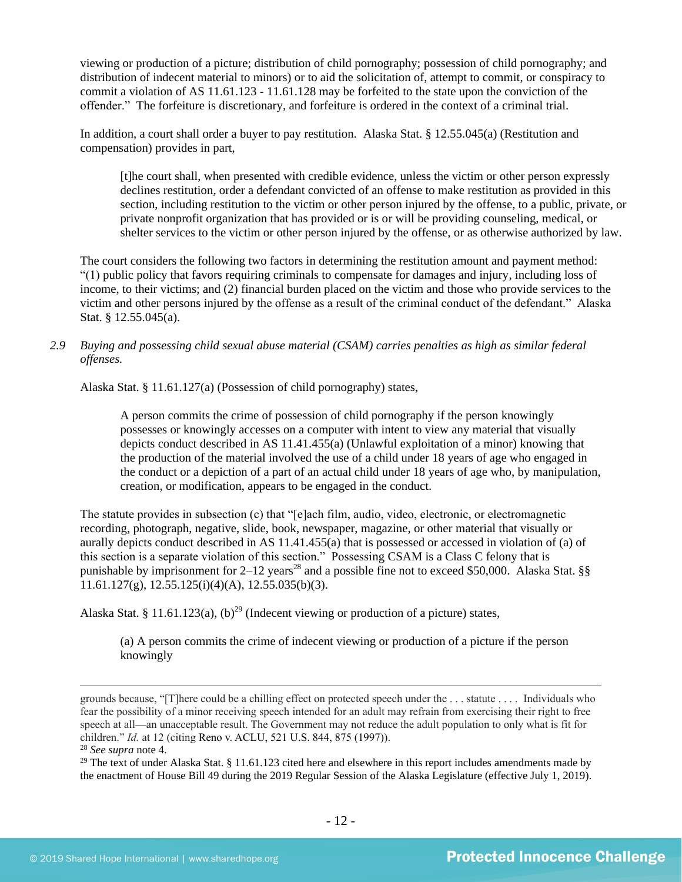viewing or production of a picture; distribution of child pornography; possession of child pornography; and distribution of indecent material to minors) or to aid the solicitation of, attempt to commit, or conspiracy to commit a violation of AS 11.61.123 - 11.61.128 may be forfeited to the state upon the conviction of the offender." The forfeiture is discretionary, and forfeiture is ordered in the context of a criminal trial.

In addition, a court shall order a buyer to pay restitution. Alaska Stat. § 12.55.045(a) (Restitution and compensation) provides in part,

[t]he court shall, when presented with credible evidence, unless the victim or other person expressly declines restitution, order a defendant convicted of an offense to make restitution as provided in this section, including restitution to the victim or other person injured by the offense, to a public, private, or private nonprofit organization that has provided or is or will be providing counseling, medical, or shelter services to the victim or other person injured by the offense, or as otherwise authorized by law.

The court considers the following two factors in determining the restitution amount and payment method: "(1) public policy that favors requiring criminals to compensate for damages and injury, including loss of income, to their victims; and (2) financial burden placed on the victim and those who provide services to the victim and other persons injured by the offense as a result of the criminal conduct of the defendant." Alaska Stat. § 12.55.045(a).

# *2.9 Buying and possessing child sexual abuse material (CSAM) carries penalties as high as similar federal offenses.*

Alaska Stat. § 11.61.127(a) (Possession of child pornography) states,

A person commits the crime of possession of child pornography if the person knowingly possesses or knowingly accesses on a computer with intent to view any material that visually depicts conduct described in AS 11.41.455(a) (Unlawful exploitation of a minor) knowing that the production of the material involved the use of a child under 18 years of age who engaged in the conduct or a depiction of a part of an actual child under 18 years of age who, by manipulation, creation, or modification, appears to be engaged in the conduct.

The statute provides in subsection (c) that "[e]ach film, audio, video, electronic, or electromagnetic recording, photograph, negative, slide, book, newspaper, magazine, or other material that visually or aurally depicts conduct described in AS 11.41.455(a) that is possessed or accessed in violation of (a) of this section is a separate violation of this section." Possessing CSAM is a Class C felony that is punishable by imprisonment for  $2-12$  years<sup>28</sup> and a possible fine not to exceed \$50,000. Alaska Stat. §§  $11.61.127(g)$ ,  $12.55.125(i)(4)(A)$ ,  $12.55.035(b)(3)$ .

Alaska Stat. § 11.61.123(a), (b)<sup>29</sup> (Indecent viewing or production of a picture) states,

<span id="page-11-0"></span>(a) A person commits the crime of indecent viewing or production of a picture if the person knowingly

grounds because, "[T]here could be a chilling effect on protected speech under the . . . statute . . . . Individuals who fear the possibility of a minor receiving speech intended for an adult may refrain from exercising their right to free speech at all—an unacceptable result. The Government may not reduce the adult population to only what is fit for children." *Id.* at 12 (citing Reno v. ACLU, 521 U.S. 844, 875 (1997)). <sup>28</sup> *See supra* note [4.](#page-1-0)

<sup>&</sup>lt;sup>29</sup> The text of under Alaska Stat. § 11.61.123 cited here and elsewhere in this report includes amendments made by the enactment of House Bill 49 during the 2019 Regular Session of the Alaska Legislature (effective July 1, 2019).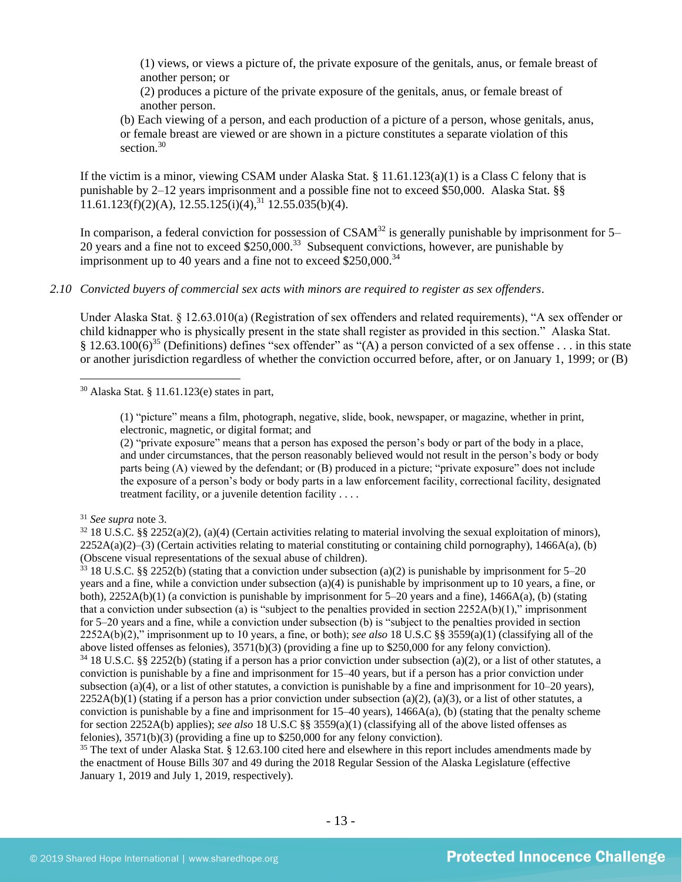(1) views, or views a picture of, the private exposure of the genitals, anus, or female breast of another person; or

(2) produces a picture of the private exposure of the genitals, anus, or female breast of another person.

<span id="page-12-0"></span>(b) Each viewing of a person, and each production of a picture of a person, whose genitals, anus, or female breast are viewed or are shown in a picture constitutes a separate violation of this section. $30$ 

If the victim is a minor, viewing CSAM under Alaska Stat.  $\S 11.61.123(a)(1)$  is a Class C felony that is punishable by 2–12 years imprisonment and a possible fine not to exceed \$50,000. Alaska Stat. §§  $11.61.123(f)(2)(A), 12.55.125(i)(4),$ <sup>31</sup> 12.55.035(b)(4).

In comparison, a federal conviction for possession of  $CSAM<sup>32</sup>$  is generally punishable by imprisonment for 5– 20 years and a fine not to exceed  $$250,000$ .<sup>33</sup> Subsequent convictions, however, are punishable by imprisonment up to 40 years and a fine not to exceed  $$250,000.<sup>34</sup>$ 

*2.10 Convicted buyers of commercial sex acts with minors are required to register as sex offenders*.

<span id="page-12-1"></span>Under Alaska Stat. § 12.63.010(a) (Registration of sex offenders and related requirements), "A sex offender or child kidnapper who is physically present in the state shall register as provided in this section." Alaska Stat. § 12.63.100(6)<sup>35</sup> (Definitions) defines "sex offender" as "(A) a person convicted of a sex offense . . . in this state or another jurisdiction regardless of whether the conviction occurred before, after, or on January 1, 1999; or (B)

<sup>30</sup> Alaska Stat. § 11.61.123(e) states in part,

(1) "picture" means a film, photograph, negative, slide, book, newspaper, or magazine, whether in print, electronic, magnetic, or digital format; and

(2) "private exposure" means that a person has exposed the person's body or part of the body in a place, and under circumstances, that the person reasonably believed would not result in the person's body or body parts being (A) viewed by the defendant; or (B) produced in a picture; "private exposure" does not include the exposure of a person's body or body parts in a law enforcement facility, correctional facility, designated treatment facility, or a juvenile detention facility . . . .

<sup>31</sup> *See supra* note [3.](#page-1-1)

 $32\,18$  U.S.C. §§ 2252(a)(2), (a)(4) (Certain activities relating to material involving the sexual exploitation of minors),  $2252A(a)(2)$ –(3) (Certain activities relating to material constituting or containing child pornography), 1466A(a), (b) (Obscene visual representations of the sexual abuse of children).

 $33$  18 U.S.C. §§ 2252(b) (stating that a conviction under subsection (a)(2) is punishable by imprisonment for 5–20 years and a fine, while a conviction under subsection (a)(4) is punishable by imprisonment up to 10 years, a fine, or both), 2252A(b)(1) (a conviction is punishable by imprisonment for 5–20 years and a fine), 1466A(a), (b) (stating that a conviction under subsection (a) is "subject to the penalties provided in section 2252A(b)(1)," imprisonment for 5–20 years and a fine, while a conviction under subsection (b) is "subject to the penalties provided in section 2252A(b)(2)," imprisonment up to 10 years, a fine, or both); *see also* 18 U.S.C §§ 3559(a)(1) (classifying all of the above listed offenses as felonies), 3571(b)(3) (providing a fine up to \$250,000 for any felony conviction).  $34\,18$  U.S.C. §§ 2252(b) (stating if a person has a prior conviction under subsection (a)(2), or a list of other statutes, a conviction is punishable by a fine and imprisonment for 15–40 years, but if a person has a prior conviction under subsection (a)(4), or a list of other statutes, a conviction is punishable by a fine and imprisonment for 10–20 years),  $2252A(b)(1)$  (stating if a person has a prior conviction under subsection (a)(2), (a)(3), or a list of other statutes, a conviction is punishable by a fine and imprisonment for  $15-40$  years),  $1466A(a)$ , (b) (stating that the penalty scheme for section 2252A(b) applies); *see also* 18 U.S.C §§ 3559(a)(1) (classifying all of the above listed offenses as felonies), 3571(b)(3) (providing a fine up to \$250,000 for any felony conviction).

<sup>35</sup> The text of under Alaska Stat. § 12.63.100 cited here and elsewhere in this report includes amendments made by the enactment of House Bills 307 and 49 during the 2018 Regular Session of the Alaska Legislature (effective January 1, 2019 and July 1, 2019, respectively).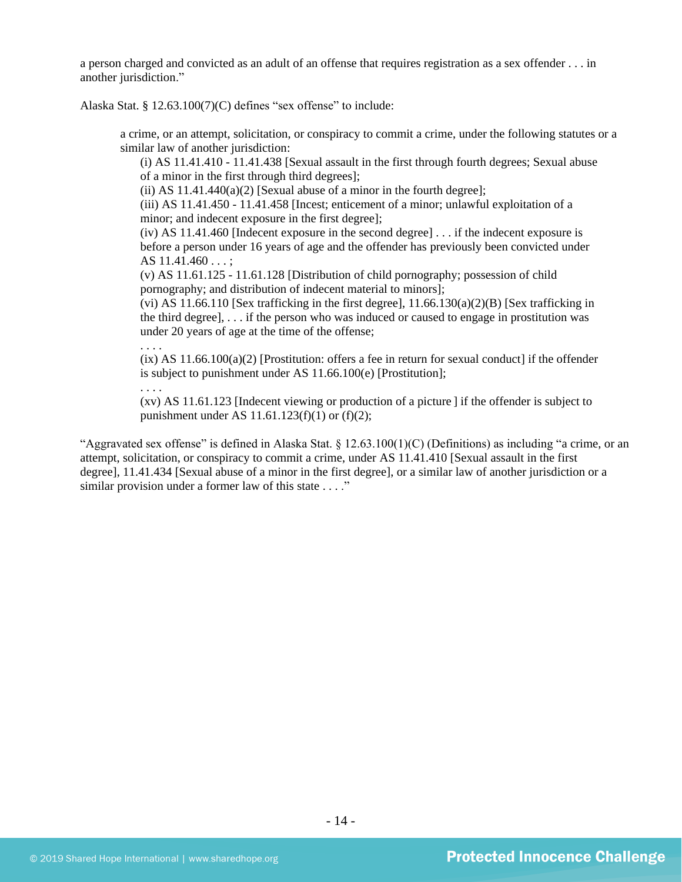a person charged and convicted as an adult of an offense that requires registration as a sex offender . . . in another jurisdiction."

Alaska Stat. § 12.63.100(7)(C) defines "sex offense" to include:

a crime, or an attempt, solicitation, or conspiracy to commit a crime, under the following statutes or a similar law of another jurisdiction:

(i) AS 11.41.410 - 11.41.438 [Sexual assault in the first through fourth degrees; Sexual abuse of a minor in the first through third degrees];

(ii) AS  $11.41.440(a)(2)$  [Sexual abuse of a minor in the fourth degree];

(iii) AS 11.41.450 - 11.41.458 [Incest; enticement of a minor; unlawful exploitation of a minor; and indecent exposure in the first degree];

(iv) AS 11.41.460 [Indecent exposure in the second degree] . . . if the indecent exposure is before a person under 16 years of age and the offender has previously been convicted under AS 11.41.460 . . . ;

(v) AS 11.61.125 - 11.61.128 [Distribution of child pornography; possession of child pornography; and distribution of indecent material to minors];

(vi) AS 11.66.110 [Sex trafficking in the first degree],  $11.66.130(a)(2)(B)$  [Sex trafficking in the third degree], . . . if the person who was induced or caused to engage in prostitution was under 20 years of age at the time of the offense; . . . .

 $(ix)$  AS 11.66.100(a)(2) [Prostitution: offers a fee in return for sexual conduct] if the offender is subject to punishment under AS 11.66.100(e) [Prostitution];

. . . .

(xv) AS 11.61.123 [Indecent viewing or production of a picture ] if the offender is subject to punishment under AS 11.61.123(f)(1) or (f)(2);

"Aggravated sex offense" is defined in Alaska Stat.  $\S$  12.63.100(1)(C) (Definitions) as including "a crime, or an attempt, solicitation, or conspiracy to commit a crime, under AS 11.41.410 [Sexual assault in the first degree], 11.41.434 [Sexual abuse of a minor in the first degree], or a similar law of another jurisdiction or a similar provision under a former law of this state . . . ."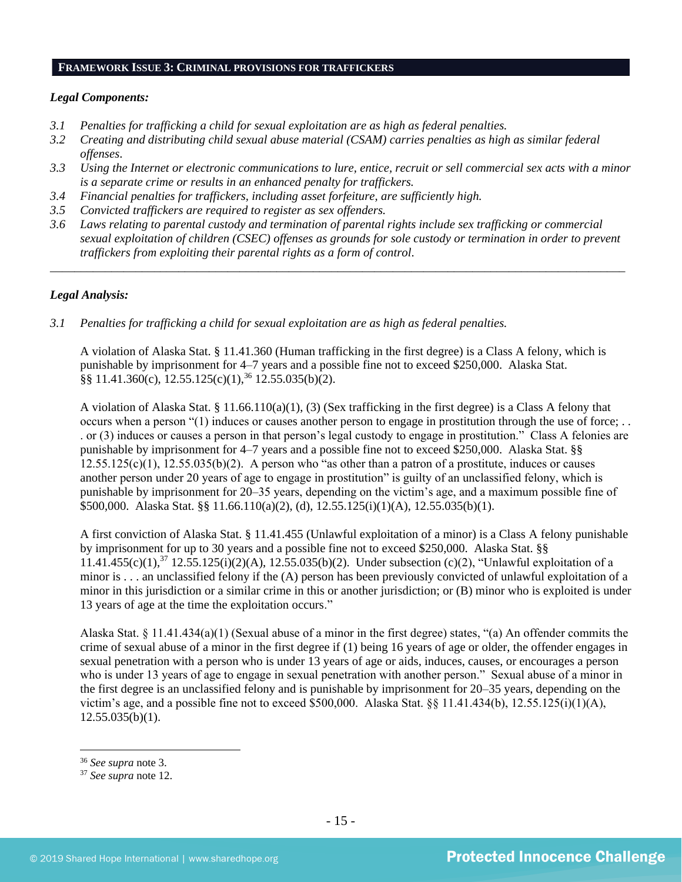#### **FRAMEWORK ISSUE 3: CRIMINAL PROVISIONS FOR TRAFFICKERS**

# *Legal Components:*

- *3.1 Penalties for trafficking a child for sexual exploitation are as high as federal penalties.*
- *3.2 Creating and distributing child sexual abuse material (CSAM) carries penalties as high as similar federal offenses*.
- *3.3 Using the Internet or electronic communications to lure, entice, recruit or sell commercial sex acts with a minor is a separate crime or results in an enhanced penalty for traffickers.*
- *3.4 Financial penalties for traffickers, including asset forfeiture, are sufficiently high.*
- *3.5 Convicted traffickers are required to register as sex offenders.*
- *3.6 Laws relating to parental custody and termination of parental rights include sex trafficking or commercial sexual exploitation of children (CSEC) offenses as grounds for sole custody or termination in order to prevent traffickers from exploiting their parental rights as a form of control.*

*\_\_\_\_\_\_\_\_\_\_\_\_\_\_\_\_\_\_\_\_\_\_\_\_\_\_\_\_\_\_\_\_\_\_\_\_\_\_\_\_\_\_\_\_\_\_\_\_\_\_\_\_\_\_\_\_\_\_\_\_\_\_\_\_\_\_\_\_\_\_\_\_\_\_\_\_\_\_\_\_\_\_\_\_\_\_\_\_\_\_\_\_\_\_*

# *Legal Analysis:*

*3.1 Penalties for trafficking a child for sexual exploitation are as high as federal penalties.* 

A violation of Alaska Stat. § 11.41.360 (Human trafficking in the first degree) is a Class A felony, which is punishable by imprisonment for 4–7 years and a possible fine not to exceed \$250,000. Alaska Stat.  $\S$ § 11.41.360(c), 12.55.125(c)(1),<sup>36</sup> 12.55.035(b)(2).

A violation of Alaska Stat. § 11.66.110(a)(1), (3) (Sex trafficking in the first degree) is a Class A felony that occurs when a person "(1) induces or causes another person to engage in prostitution through the use of force; . . . or (3) induces or causes a person in that person's legal custody to engage in prostitution." Class A felonies are punishable by imprisonment for 4–7 years and a possible fine not to exceed \$250,000. Alaska Stat. §§  $12.55.125(c)(1)$ ,  $12.55.035(b)(2)$ . A person who "as other than a patron of a prostitute, induces or causes another person under 20 years of age to engage in prostitution" is guilty of an unclassified felony, which is punishable by imprisonment for 20–35 years, depending on the victim's age, and a maximum possible fine of \$500,000. Alaska Stat. §§ 11.66.110(a)(2), (d), 12.55.125(i)(1)(A), 12.55.035(b)(1).

A first conviction of Alaska Stat. § 11.41.455 (Unlawful exploitation of a minor) is a Class A felony punishable by imprisonment for up to 30 years and a possible fine not to exceed \$250,000. Alaska Stat. §§  $11.41.455(c)(1)$ ,<sup>37</sup>  $12.55.125(i)(2)(A)$ ,  $12.55.035(b)(2)$ . Under subsection (c)(2), "Unlawful exploitation of a minor is . . . an unclassified felony if the (A) person has been previously convicted of unlawful exploitation of a minor in this jurisdiction or a similar crime in this or another jurisdiction; or (B) minor who is exploited is under 13 years of age at the time the exploitation occurs."

Alaska Stat. § 11.41.434(a)(1) (Sexual abuse of a minor in the first degree) states, "(a) An offender commits the crime of sexual abuse of a minor in the first degree if (1) being 16 years of age or older, the offender engages in sexual penetration with a person who is under 13 years of age or aids, induces, causes, or encourages a person who is under 13 years of age to engage in sexual penetration with another person." Sexual abuse of a minor in the first degree is an unclassified felony and is punishable by imprisonment for 20–35 years, depending on the victim's age, and a possible fine not to exceed \$500,000. Alaska Stat. §§ 11.41.434(b), 12.55.125(i)(1)(A),  $12.55.035(b)(1)$ .

<sup>36</sup> *See supra* note [3.](#page-1-1)

<sup>37</sup> *See supra* note [12.](#page-3-0)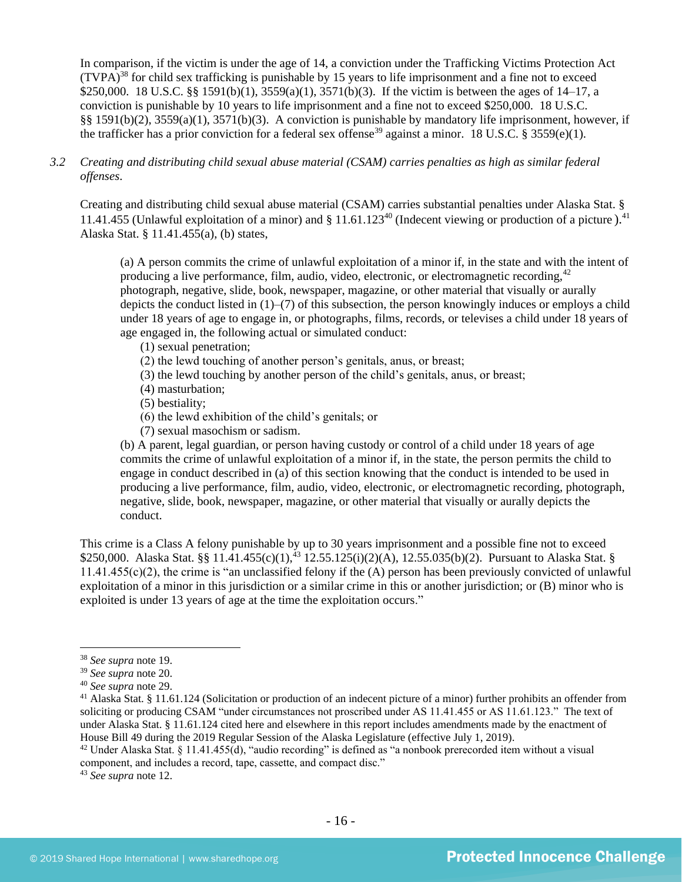In comparison, if the victim is under the age of 14, a conviction under the Trafficking Victims Protection Act  $(TVPA)<sup>38</sup>$  for child sex trafficking is punishable by 15 years to life imprisonment and a fine not to exceed \$250,000. 18 U.S.C. §§ 1591(b)(1), 3559(a)(1), 3571(b)(3). If the victim is between the ages of 14–17, a conviction is punishable by 10 years to life imprisonment and a fine not to exceed \$250,000. 18 U.S.C. §§ 1591(b)(2), 3559(a)(1), 3571(b)(3). A conviction is punishable by mandatory life imprisonment, however, if the trafficker has a prior conviction for a federal sex offense<sup>39</sup> against a minor. 18 U.S.C. § 3559(e)(1).

*3.2 Creating and distributing child sexual abuse material (CSAM) carries penalties as high as similar federal offenses*.

Creating and distributing child sexual abuse material (CSAM) carries substantial penalties under Alaska Stat. § 11.41.455 (Unlawful exploitation of a minor) and  $\S 11.61.123<sup>40</sup>$  (Indecent viewing or production of a picture).<sup>41</sup> Alaska Stat. § 11.41.455(a), (b) states,

(a) A person commits the crime of unlawful exploitation of a minor if, in the state and with the intent of producing a live performance, film, audio, video, electronic, or electromagnetic recording,  $42$ photograph, negative, slide, book, newspaper, magazine, or other material that visually or aurally depicts the conduct listed in (1)–(7) of this subsection, the person knowingly induces or employs a child under 18 years of age to engage in, or photographs, films, records, or televises a child under 18 years of age engaged in, the following actual or simulated conduct:

- (1) sexual penetration;
- (2) the lewd touching of another person's genitals, anus, or breast;
- (3) the lewd touching by another person of the child's genitals, anus, or breast;
- (4) masturbation;
- (5) bestiality;
- (6) the lewd exhibition of the child's genitals; or
- (7) sexual masochism or sadism.

(b) A parent, legal guardian, or person having custody or control of a child under 18 years of age commits the crime of unlawful exploitation of a minor if, in the state, the person permits the child to engage in conduct described in (a) of this section knowing that the conduct is intended to be used in producing a live performance, film, audio, video, electronic, or electromagnetic recording, photograph, negative, slide, book, newspaper, magazine, or other material that visually or aurally depicts the conduct.

This crime is a Class A felony punishable by up to 30 years imprisonment and a possible fine not to exceed \$250,000. Alaska Stat. §§ 11.41.455(c)(1),<sup>43</sup> 12.55.125(i)(2)(A), 12.55.035(b)(2). Pursuant to Alaska Stat. § 11.41.455(c)(2), the crime is "an unclassified felony if the (A) person has been previously convicted of unlawful exploitation of a minor in this jurisdiction or a similar crime in this or another jurisdiction; or (B) minor who is exploited is under 13 years of age at the time the exploitation occurs."

<sup>43</sup> *See supra* note [12.](#page-3-0)

<sup>38</sup> *See supra* note [19.](#page-8-0)

<sup>39</sup> *See supra* note [20.](#page-8-1)

<sup>40</sup> *See supra* note [29.](#page-11-0)

<sup>41</sup> Alaska Stat. § 11.61.124 (Solicitation or production of an indecent picture of a minor) further prohibits an offender from soliciting or producing CSAM "under circumstances not proscribed under AS 11.41.455 or AS 11.61.123." The text of under Alaska Stat. § 11.61.124 cited here and elsewhere in this report includes amendments made by the enactment of House Bill 49 during the 2019 Regular Session of the Alaska Legislature (effective July 1, 2019).

<sup>&</sup>lt;sup>42</sup> Under Alaska Stat. § 11.41.455(d), "audio recording" is defined as "a nonbook prerecorded item without a visual component, and includes a record, tape, cassette, and compact disc."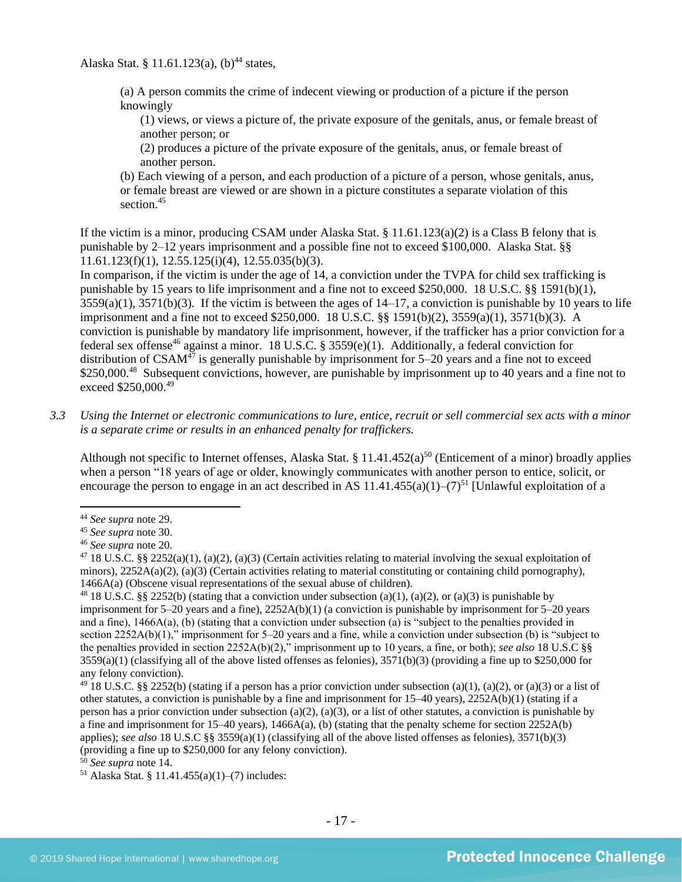Alaska Stat. § 11.61.123(a),  $(b)^{44}$  states,

(a) A person commits the crime of indecent viewing or production of a picture if the person knowingly

(1) views, or views a picture of, the private exposure of the genitals, anus, or female breast of another person; or

(2) produces a picture of the private exposure of the genitals, anus, or female breast of another person.

(b) Each viewing of a person, and each production of a picture of a person, whose genitals, anus, or female breast are viewed or are shown in a picture constitutes a separate violation of this section.<sup>45</sup>

If the victim is a minor, producing CSAM under Alaska Stat. § 11.61.123(a)(2) is a Class B felony that is punishable by 2–12 years imprisonment and a possible fine not to exceed \$100,000. Alaska Stat. §§ 11.61.123(f)(1), 12.55.125(i)(4), 12.55.035(b)(3).

In comparison, if the victim is under the age of 14, a conviction under the TVPA for child sex trafficking is punishable by 15 years to life imprisonment and a fine not to exceed \$250,000. 18 U.S.C. §§ 1591(b)(1),  $3559(a)(1)$ ,  $3571(b)(3)$ . If the victim is between the ages of  $14-17$ , a conviction is punishable by 10 years to life imprisonment and a fine not to exceed \$250,000. 18 U.S.C. §§ 1591(b)(2), 3559(a)(1), 3571(b)(3). A conviction is punishable by mandatory life imprisonment, however, if the trafficker has a prior conviction for a federal sex offense<sup>46</sup> against a minor. 18 U.S.C. § 3559(e)(1). Additionally, a federal conviction for distribution of  $CSAM<sup>47</sup>$  is generally punishable by imprisonment for 5–20 years and a fine not to exceed \$250,000.<sup>48</sup> Subsequent convictions, however, are punishable by imprisonment up to 40 years and a fine not to exceed \$250,000.<sup>49</sup>

*3.3 Using the Internet or electronic communications to lure, entice, recruit or sell commercial sex acts with a minor is a separate crime or results in an enhanced penalty for traffickers.*

Although not specific to Internet offenses, Alaska Stat. § 11.41.452(a)<sup>50</sup> (Enticement of a minor) broadly applies when a person "18 years of age or older, knowingly communicates with another person to entice, solicit, or encourage the person to engage in an act described in AS 11.41.455(a)(1)–(7)<sup>51</sup> [Unlawful exploitation of a

<sup>51</sup> Alaska Stat. § 11.41.455(a)(1)–(7) includes:

<sup>44</sup> *See supra* note [29.](#page-11-0)

<sup>45</sup> *See supra* note [30.](#page-12-0)

<sup>46</sup> *See supra* note [20.](#page-8-1)

<sup>&</sup>lt;sup>47</sup> 18 U.S.C. §§ 2252(a)(1), (a)(2), (a)(3) (Certain activities relating to material involving the sexual exploitation of minors),  $2252A(a)(2)$ ,  $(a)(3)$  (Certain activities relating to material constituting or containing child pornography), 1466A(a) (Obscene visual representations of the sexual abuse of children).

<sup>&</sup>lt;sup>48</sup> 18 U.S.C. §§ 2252(b) (stating that a conviction under subsection (a)(1), (a)(2), or (a)(3) is punishable by imprisonment for 5–20 years and a fine), 2252A(b)(1) (a conviction is punishable by imprisonment for 5–20 years and a fine), 1466A(a), (b) (stating that a conviction under subsection (a) is "subject to the penalties provided in section 2252A(b)(1)," imprisonment for 5–20 years and a fine, while a conviction under subsection (b) is "subject to the penalties provided in section 2252A(b)(2)," imprisonment up to 10 years, a fine, or both); *see also* 18 U.S.C §§  $3559(a)(1)$  (classifying all of the above listed offenses as felonies),  $3571(b)(3)$  (providing a fine up to \$250,000 for any felony conviction).

<sup>&</sup>lt;sup>49</sup> 18 U.S.C. §§ 2252(b) (stating if a person has a prior conviction under subsection (a)(1), (a)(2), or (a)(3) or a list of other statutes, a conviction is punishable by a fine and imprisonment for 15–40 years), 2252A(b)(1) (stating if a person has a prior conviction under subsection (a)(2), (a)(3), or a list of other statutes, a conviction is punishable by a fine and imprisonment for  $15-40$  years),  $1466A(a)$ , (b) (stating that the penalty scheme for section  $2252A(b)$ applies); *see also* 18 U.S.C §§ 3559(a)(1) (classifying all of the above listed offenses as felonies), 3571(b)(3) (providing a fine up to \$250,000 for any felony conviction).

<sup>50</sup> *See supra* note [14.](#page-4-0)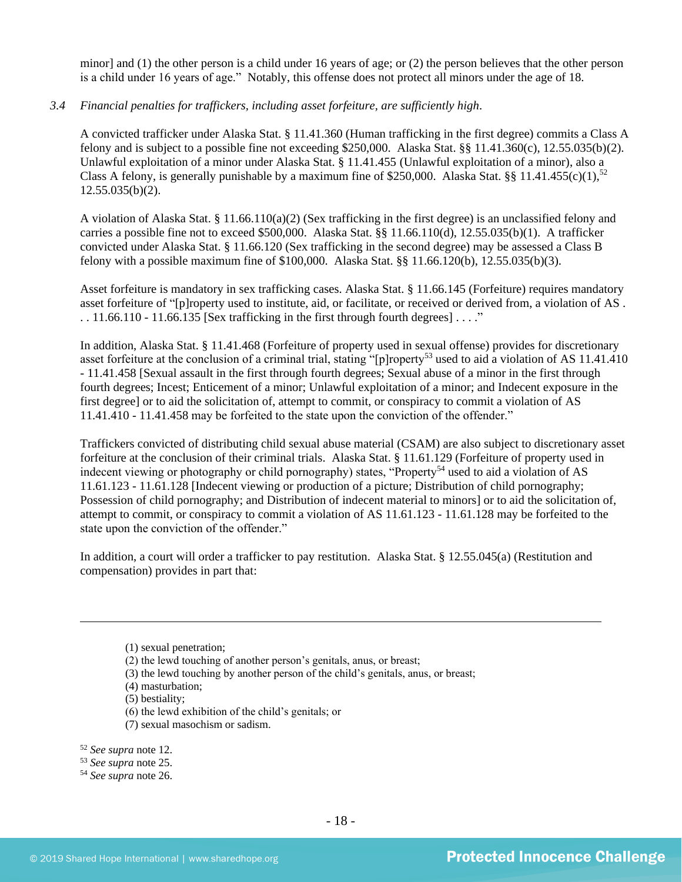minor] and (1) the other person is a child under 16 years of age; or (2) the person believes that the other person is a child under 16 years of age." Notably, this offense does not protect all minors under the age of 18.

# *3.4 Financial penalties for traffickers, including asset forfeiture, are sufficiently high*.

A convicted trafficker under Alaska Stat. § 11.41.360 (Human trafficking in the first degree) commits a Class A felony and is subject to a possible fine not exceeding \$250,000. Alaska Stat.  $\S$  11.41.360(c), 12.55.035(b)(2). Unlawful exploitation of a minor under Alaska Stat. § 11.41.455 (Unlawful exploitation of a minor), also a Class A felony, is generally punishable by a maximum fine of \$250,000. Alaska Stat. §§ 11.41.455(c)(1),<sup>52</sup> 12.55.035(b)(2).

A violation of Alaska Stat. § 11.66.110(a)(2) (Sex trafficking in the first degree) is an unclassified felony and carries a possible fine not to exceed \$500,000. Alaska Stat. §§ 11.66.110(d), 12.55.035(b)(1). A trafficker convicted under Alaska Stat. § 11.66.120 (Sex trafficking in the second degree) may be assessed a Class B felony with a possible maximum fine of \$100,000. Alaska Stat. §§ 11.66.120(b), 12.55.035(b)(3).

Asset forfeiture is mandatory in sex trafficking cases. Alaska Stat. § 11.66.145 (Forfeiture) requires mandatory asset forfeiture of "[p]roperty used to institute, aid, or facilitate, or received or derived from, a violation of AS .  $\ldots$  11.66.110 - 11.66.135 [Sex trafficking in the first through fourth degrees]  $\ldots$ ."

In addition, Alaska Stat. § 11.41.468 (Forfeiture of property used in sexual offense) provides for discretionary asset forfeiture at the conclusion of a criminal trial, stating "[p]roperty<sup>53</sup> used to aid a violation of AS 11.41.410 - 11.41.458 [Sexual assault in the first through fourth degrees; Sexual abuse of a minor in the first through fourth degrees; Incest; Enticement of a minor; Unlawful exploitation of a minor; and Indecent exposure in the first degree] or to aid the solicitation of, attempt to commit, or conspiracy to commit a violation of AS 11.41.410 - 11.41.458 may be forfeited to the state upon the conviction of the offender."

Traffickers convicted of distributing child sexual abuse material (CSAM) are also subject to discretionary asset forfeiture at the conclusion of their criminal trials. Alaska Stat. § 11.61.129 (Forfeiture of property used in indecent viewing or photography or child pornography) states, "Property<sup>54</sup> used to aid a violation of AS 11.61.123 - 11.61.128 [Indecent viewing or production of a picture; Distribution of child pornography; Possession of child pornography; and Distribution of indecent material to minors] or to aid the solicitation of, attempt to commit, or conspiracy to commit a violation of AS 11.61.123 - 11.61.128 may be forfeited to the state upon the conviction of the offender."

In addition, a court will order a trafficker to pay restitution. Alaska Stat. § 12.55.045(a) (Restitution and compensation) provides in part that:

- (5) bestiality;
- (6) the lewd exhibition of the child's genitals; or
- (7) sexual masochism or sadism.
- <sup>52</sup> *See supra* note [12.](#page-3-0)
- <sup>53</sup> *See supra* note [25.](#page-10-0)
- <sup>54</sup> *See supra* note [26.](#page-10-1)

<sup>(1)</sup> sexual penetration;

<sup>(2)</sup> the lewd touching of another person's genitals, anus, or breast;

<sup>(3)</sup> the lewd touching by another person of the child's genitals, anus, or breast;

<sup>(4)</sup> masturbation;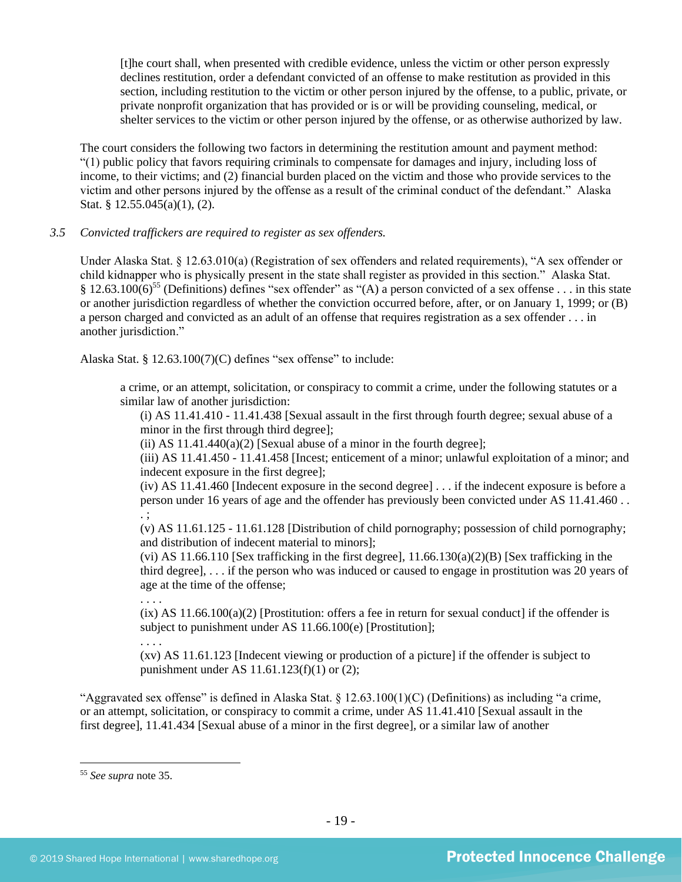[t]he court shall, when presented with credible evidence, unless the victim or other person expressly declines restitution, order a defendant convicted of an offense to make restitution as provided in this section, including restitution to the victim or other person injured by the offense, to a public, private, or private nonprofit organization that has provided or is or will be providing counseling, medical, or shelter services to the victim or other person injured by the offense, or as otherwise authorized by law.

The court considers the following two factors in determining the restitution amount and payment method: "(1) public policy that favors requiring criminals to compensate for damages and injury, including loss of income, to their victims; and (2) financial burden placed on the victim and those who provide services to the victim and other persons injured by the offense as a result of the criminal conduct of the defendant." Alaska Stat. § 12.55.045(a)(1), (2).

# *3.5 Convicted traffickers are required to register as sex offenders.*

Under Alaska Stat. § 12.63.010(a) (Registration of sex offenders and related requirements), "A sex offender or child kidnapper who is physically present in the state shall register as provided in this section." Alaska Stat. § 12.63.100(6)<sup>55</sup> (Definitions) defines "sex offender" as "(A) a person convicted of a sex offense . . . in this state or another jurisdiction regardless of whether the conviction occurred before, after, or on January 1, 1999; or (B) a person charged and convicted as an adult of an offense that requires registration as a sex offender . . . in another jurisdiction."

Alaska Stat. § 12.63.100(7)(C) defines "sex offense" to include:

a crime, or an attempt, solicitation, or conspiracy to commit a crime, under the following statutes or a similar law of another jurisdiction:

(i) AS 11.41.410 - 11.41.438 [Sexual assault in the first through fourth degree; sexual abuse of a minor in the first through third degree];

(ii) AS  $11.41.440(a)(2)$  [Sexual abuse of a minor in the fourth degree];

(iii) AS 11.41.450 - 11.41.458 [Incest; enticement of a minor; unlawful exploitation of a minor; and indecent exposure in the first degree];

(iv) AS 11.41.460 [Indecent exposure in the second degree] . . . if the indecent exposure is before a person under 16 years of age and the offender has previously been convicted under AS 11.41.460 . . . ;

(v) AS 11.61.125 - 11.61.128 [Distribution of child pornography; possession of child pornography; and distribution of indecent material to minors];

(vi) AS 11.66.110 [Sex trafficking in the first degree],  $11.66.130(a)(2)(B)$  [Sex trafficking in the third degree], . . . if the person who was induced or caused to engage in prostitution was 20 years of age at the time of the offense;

. . . .

. . . .

 $(ix)$  AS 11.66.100(a)(2) [Prostitution: offers a fee in return for sexual conduct] if the offender is subject to punishment under AS 11.66.100(e) [Prostitution];

(xv) AS 11.61.123 [Indecent viewing or production of a picture] if the offender is subject to punishment under AS 11.61.123(f)(1) or (2);

"Aggravated sex offense" is defined in Alaska Stat. § 12.63.100(1)(C) (Definitions) as including "a crime, or an attempt, solicitation, or conspiracy to commit a crime, under AS 11.41.410 [Sexual assault in the first degree], 11.41.434 [Sexual abuse of a minor in the first degree], or a similar law of another

<sup>55</sup> *See supra* note [35.](#page-12-1)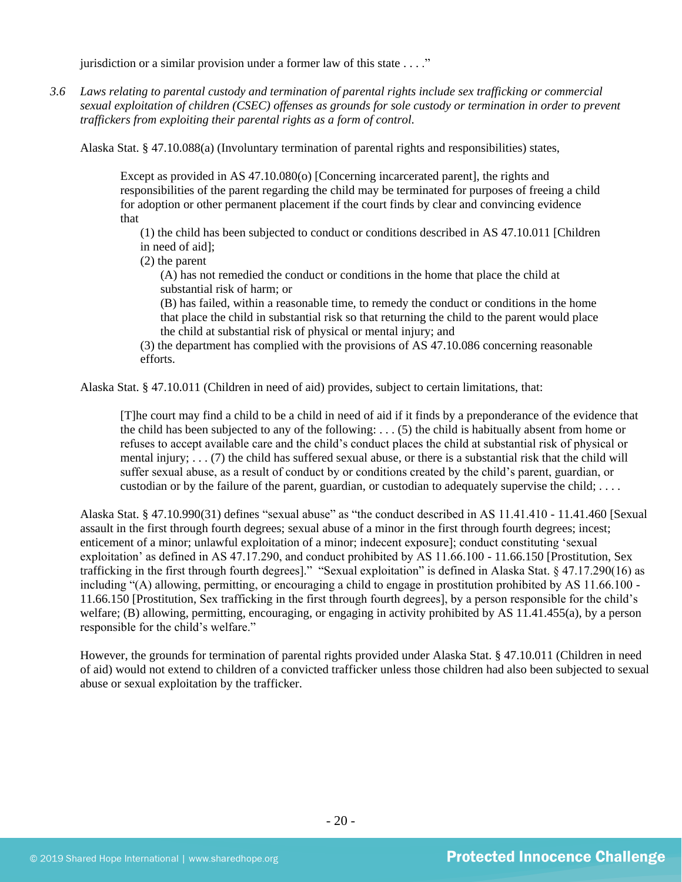jurisdiction or a similar provision under a former law of this state . . . ."

*3.6 Laws relating to parental custody and termination of parental rights include sex trafficking or commercial sexual exploitation of children (CSEC) offenses as grounds for sole custody or termination in order to prevent traffickers from exploiting their parental rights as a form of control.* 

Alaska Stat. § 47.10.088(a) (Involuntary termination of parental rights and responsibilities) states,

Except as provided in AS 47.10.080(o) [Concerning incarcerated parent], the rights and responsibilities of the parent regarding the child may be terminated for purposes of freeing a child for adoption or other permanent placement if the court finds by clear and convincing evidence that

(1) the child has been subjected to conduct or conditions described in AS 47.10.011 [Children in need of aid];

(2) the parent

(A) has not remedied the conduct or conditions in the home that place the child at substantial risk of harm; or

(B) has failed, within a reasonable time, to remedy the conduct or conditions in the home that place the child in substantial risk so that returning the child to the parent would place the child at substantial risk of physical or mental injury; and

(3) the department has complied with the provisions of AS 47.10.086 concerning reasonable efforts.

Alaska Stat. § 47.10.011 (Children in need of aid) provides, subject to certain limitations, that:

[T]he court may find a child to be a child in need of aid if it finds by a preponderance of the evidence that the child has been subjected to any of the following: . . . (5) the child is habitually absent from home or refuses to accept available care and the child's conduct places the child at substantial risk of physical or mental injury; . . . (7) the child has suffered sexual abuse, or there is a substantial risk that the child will suffer sexual abuse, as a result of conduct by or conditions created by the child's parent, guardian, or custodian or by the failure of the parent, guardian, or custodian to adequately supervise the child; . . . .

Alaska Stat. § 47.10.990(31) defines "sexual abuse" as "the conduct described in AS 11.41.410 - 11.41.460 [Sexual assault in the first through fourth degrees; sexual abuse of a minor in the first through fourth degrees; incest; enticement of a minor; unlawful exploitation of a minor; indecent exposure]; conduct constituting 'sexual exploitation' as defined in AS 47.17.290, and conduct prohibited by AS 11.66.100 - 11.66.150 [Prostitution, Sex trafficking in the first through fourth degrees]." "Sexual exploitation" is defined in Alaska Stat. § 47.17.290(16) as including "(A) allowing, permitting, or encouraging a child to engage in prostitution prohibited by AS 11.66.100 - 11.66.150 [Prostitution, Sex trafficking in the first through fourth degrees], by a person responsible for the child's welfare; (B) allowing, permitting, encouraging, or engaging in activity prohibited by AS 11.41.455(a), by a person responsible for the child's welfare."

However, the grounds for termination of parental rights provided under Alaska Stat. § 47.10.011 (Children in need of aid) would not extend to children of a convicted trafficker unless those children had also been subjected to sexual abuse or sexual exploitation by the trafficker.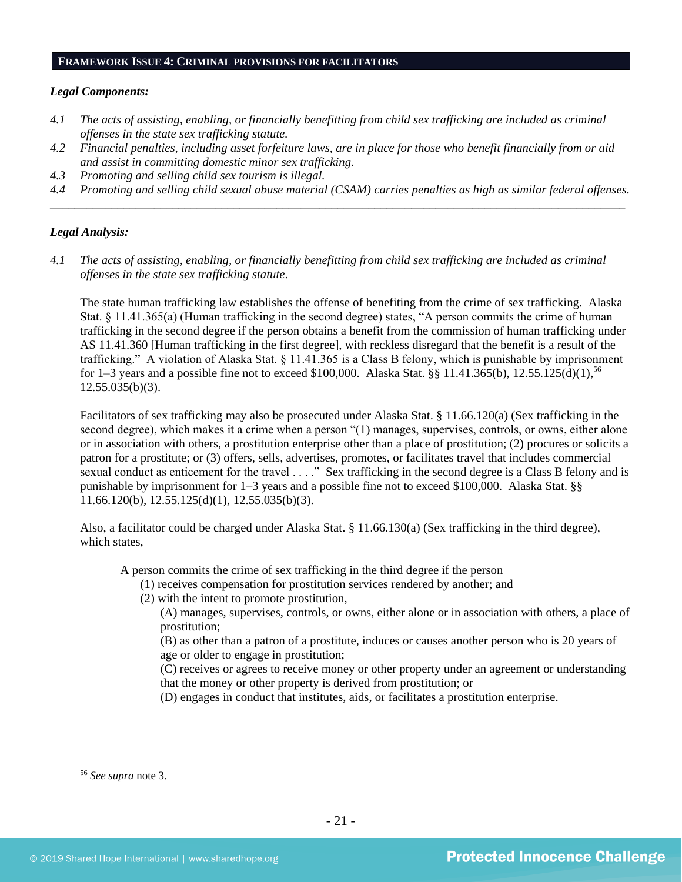# **FRAMEWORK ISSUE 4: CRIMINAL PROVISIONS FOR FACILITATORS**

# *Legal Components:*

- *4.1 The acts of assisting, enabling, or financially benefitting from child sex trafficking are included as criminal offenses in the state sex trafficking statute.*
- *4.2 Financial penalties, including asset forfeiture laws, are in place for those who benefit financially from or aid and assist in committing domestic minor sex trafficking.*
- *4.3 Promoting and selling child sex tourism is illegal.*
- *4.4 Promoting and selling child sexual abuse material (CSAM) carries penalties as high as similar federal offenses. \_\_\_\_\_\_\_\_\_\_\_\_\_\_\_\_\_\_\_\_\_\_\_\_\_\_\_\_\_\_\_\_\_\_\_\_\_\_\_\_\_\_\_\_\_\_\_\_\_\_\_\_\_\_\_\_\_\_\_\_\_\_\_\_\_\_\_\_\_\_\_\_\_\_\_\_\_\_\_\_\_\_\_\_\_\_\_\_\_\_\_\_\_\_*

# *Legal Analysis:*

*4.1 The acts of assisting, enabling, or financially benefitting from child sex trafficking are included as criminal offenses in the state sex trafficking statute*.

The state human trafficking law establishes the offense of benefiting from the crime of sex trafficking. Alaska Stat. § 11.41.365(a) (Human trafficking in the second degree) states, "A person commits the crime of human trafficking in the second degree if the person obtains a benefit from the commission of human trafficking under AS 11.41.360 [Human trafficking in the first degree], with reckless disregard that the benefit is a result of the trafficking." A violation of Alaska Stat. § 11.41.365 is a Class B felony, which is punishable by imprisonment for 1–3 years and a possible fine not to exceed \$100,000. Alaska Stat. §§ 11.41.365(b), 12.55.125(d)(1),<sup>56</sup>  $12.55.035(b)(3)$ .

Facilitators of sex trafficking may also be prosecuted under Alaska Stat. § 11.66.120(a) (Sex trafficking in the second degree), which makes it a crime when a person "(1) manages, supervises, controls, or owns, either alone or in association with others, a prostitution enterprise other than a place of prostitution; (2) procures or solicits a patron for a prostitute; or (3) offers, sells, advertises, promotes, or facilitates travel that includes commercial sexual conduct as enticement for the travel . . . ." Sex trafficking in the second degree is a Class B felony and is punishable by imprisonment for 1–3 years and a possible fine not to exceed \$100,000. Alaska Stat. §§ 11.66.120(b), 12.55.125(d)(1), 12.55.035(b)(3).

Also, a facilitator could be charged under Alaska Stat. § 11.66.130(a) (Sex trafficking in the third degree), which states,

A person commits the crime of sex trafficking in the third degree if the person

- (1) receives compensation for prostitution services rendered by another; and
- (2) with the intent to promote prostitution,

(A) manages, supervises, controls, or owns, either alone or in association with others, a place of prostitution;

(B) as other than a patron of a prostitute, induces or causes another person who is 20 years of age or older to engage in prostitution;

(C) receives or agrees to receive money or other property under an agreement or understanding that the money or other property is derived from prostitution; or

(D) engages in conduct that institutes, aids, or facilitates a prostitution enterprise.

<sup>56</sup> *See supra* note [3.](#page-1-1)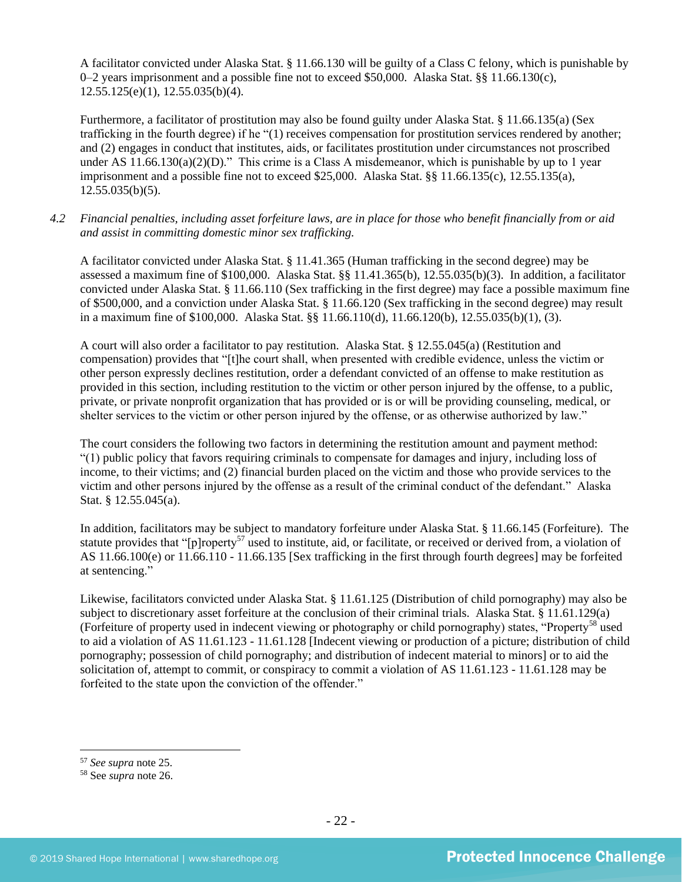A facilitator convicted under Alaska Stat. § 11.66.130 will be guilty of a Class C felony, which is punishable by 0–2 years imprisonment and a possible fine not to exceed \$50,000. Alaska Stat. §§ 11.66.130(c), 12.55.125(e)(1), 12.55.035(b)(4).

Furthermore, a facilitator of prostitution may also be found guilty under Alaska Stat. § 11.66.135(a) (Sex trafficking in the fourth degree) if he "(1) receives compensation for prostitution services rendered by another; and (2) engages in conduct that institutes, aids, or facilitates prostitution under circumstances not proscribed under AS  $11.66.130(a)(2)(D)$ ." This crime is a Class A misdemeanor, which is punishable by up to 1 year imprisonment and a possible fine not to exceed \$25,000. Alaska Stat. §§ 11.66.135(c), 12.55.135(a), 12.55.035(b)(5).

*4.2 Financial penalties, including asset forfeiture laws, are in place for those who benefit financially from or aid and assist in committing domestic minor sex trafficking.*

A facilitator convicted under Alaska Stat. § 11.41.365 (Human trafficking in the second degree) may be assessed a maximum fine of \$100,000. Alaska Stat. §§ 11.41.365(b), 12.55.035(b)(3). In addition, a facilitator convicted under Alaska Stat. § 11.66.110 (Sex trafficking in the first degree) may face a possible maximum fine of \$500,000, and a conviction under Alaska Stat. § 11.66.120 (Sex trafficking in the second degree) may result in a maximum fine of \$100,000. Alaska Stat. §§ 11.66.110(d), 11.66.120(b), 12.55.035(b)(1), (3).

A court will also order a facilitator to pay restitution. Alaska Stat. § 12.55.045(a) (Restitution and compensation) provides that "[t]he court shall, when presented with credible evidence, unless the victim or other person expressly declines restitution, order a defendant convicted of an offense to make restitution as provided in this section, including restitution to the victim or other person injured by the offense, to a public, private, or private nonprofit organization that has provided or is or will be providing counseling, medical, or shelter services to the victim or other person injured by the offense, or as otherwise authorized by law."

The court considers the following two factors in determining the restitution amount and payment method: "(1) public policy that favors requiring criminals to compensate for damages and injury, including loss of income, to their victims; and (2) financial burden placed on the victim and those who provide services to the victim and other persons injured by the offense as a result of the criminal conduct of the defendant." Alaska Stat. § 12.55.045(a).

In addition, facilitators may be subject to mandatory forfeiture under Alaska Stat. § 11.66.145 (Forfeiture). The statute provides that "[p]roperty<sup>57</sup> used to institute, aid, or facilitate, or received or derived from, a violation of AS 11.66.100(e) or 11.66.110 - 11.66.135 [Sex trafficking in the first through fourth degrees] may be forfeited at sentencing."

Likewise, facilitators convicted under Alaska Stat. § 11.61.125 (Distribution of child pornography) may also be subject to discretionary asset forfeiture at the conclusion of their criminal trials. Alaska Stat. § 11.61.129(a) (Forfeiture of property used in indecent viewing or photography or child pornography) states, "Property<sup>58</sup> used to aid a violation of AS 11.61.123 - 11.61.128 [Indecent viewing or production of a picture; distribution of child pornography; possession of child pornography; and distribution of indecent material to minors] or to aid the solicitation of, attempt to commit, or conspiracy to commit a violation of AS 11.61.123 - 11.61.128 may be forfeited to the state upon the conviction of the offender."

<sup>57</sup> *See supra* note [25.](#page-10-0)

<sup>58</sup> See *supra* note [26.](#page-10-1)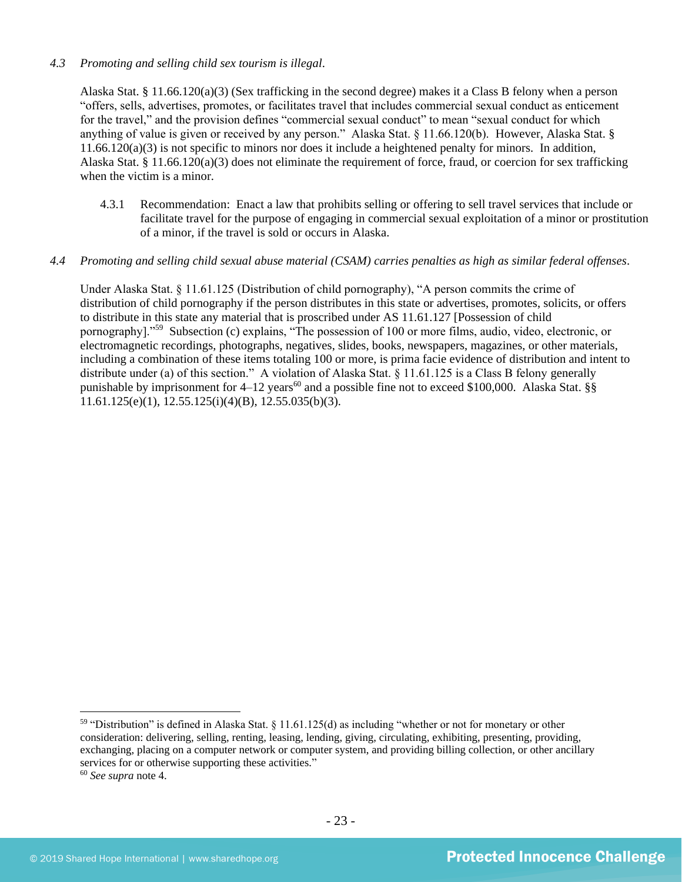# *4.3 Promoting and selling child sex tourism is illegal*.

Alaska Stat. § 11.66.120(a)(3) (Sex trafficking in the second degree) makes it a Class B felony when a person "offers, sells, advertises, promotes, or facilitates travel that includes commercial sexual conduct as enticement for the travel," and the provision defines "commercial sexual conduct" to mean "sexual conduct for which anything of value is given or received by any person." Alaska Stat. § 11.66.120(b). However, Alaska Stat. § 11.66.120(a)(3) is not specific to minors nor does it include a heightened penalty for minors. In addition, Alaska Stat. § 11.66.120(a)(3) does not eliminate the requirement of force, fraud, or coercion for sex trafficking when the victim is a minor.

4.3.1 Recommendation: Enact a law that prohibits selling or offering to sell travel services that include or facilitate travel for the purpose of engaging in commercial sexual exploitation of a minor or prostitution of a minor, if the travel is sold or occurs in Alaska.

# *4.4 Promoting and selling child sexual abuse material (CSAM) carries penalties as high as similar federal offenses*.

Under Alaska Stat. § 11.61.125 (Distribution of child pornography), "A person commits the crime of distribution of child pornography if the person distributes in this state or advertises, promotes, solicits, or offers to distribute in this state any material that is proscribed under AS 11.61.127 [Possession of child pornography]."<sup>59</sup> Subsection (c) explains, "The possession of 100 or more films, audio, video, electronic, or electromagnetic recordings, photographs, negatives, slides, books, newspapers, magazines, or other materials, including a combination of these items totaling 100 or more, is prima facie evidence of distribution and intent to distribute under (a) of this section." A violation of Alaska Stat. § 11.61.125 is a Class B felony generally punishable by imprisonment for  $4-12$  years<sup>60</sup> and a possible fine not to exceed \$100,000. Alaska Stat. §§  $11.61.125(e)(1)$ ,  $12.55.125(i)(4)(B)$ ,  $12.55.035(b)(3)$ .

<sup>59</sup> "Distribution" is defined in Alaska Stat. § 11.61.125(d) as including "whether or not for monetary or other consideration: delivering, selling, renting, leasing, lending, giving, circulating, exhibiting, presenting, providing, exchanging, placing on a computer network or computer system, and providing billing collection, or other ancillary services for or otherwise supporting these activities."

<sup>60</sup> *See supra* note [4.](#page-1-0)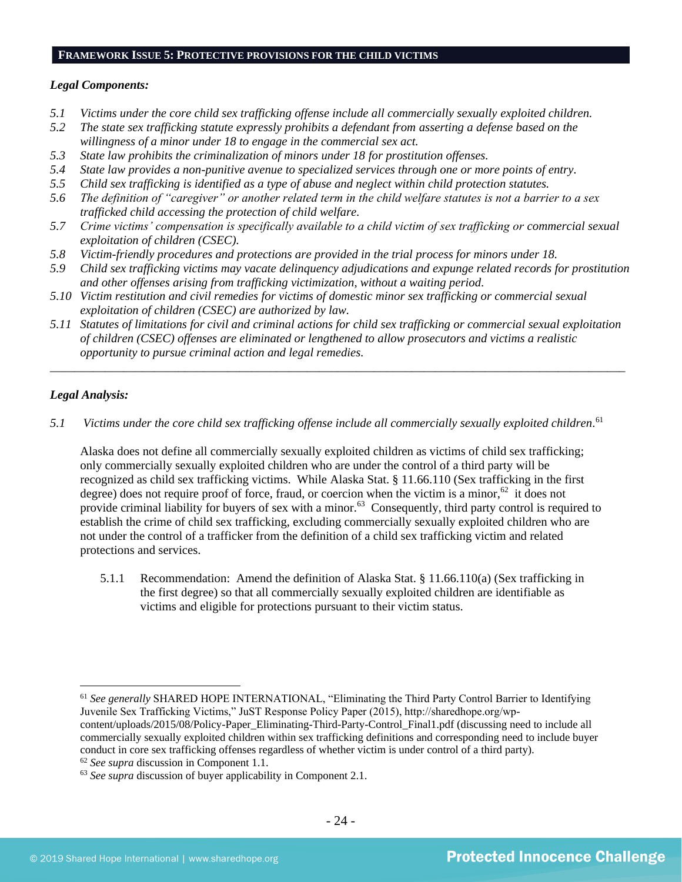# **FRAMEWORK ISSUE 5: PROTECTIVE PROVISIONS FOR THE CHILD VICTIMS**

### *Legal Components:*

- *5.1 Victims under the core child sex trafficking offense include all commercially sexually exploited children.*
- *5.2 The state sex trafficking statute expressly prohibits a defendant from asserting a defense based on the willingness of a minor under 18 to engage in the commercial sex act.*
- *5.3 State law prohibits the criminalization of minors under 18 for prostitution offenses.*
- *5.4 State law provides a non-punitive avenue to specialized services through one or more points of entry.*
- *5.5 Child sex trafficking is identified as a type of abuse and neglect within child protection statutes.*
- *5.6 The definition of "caregiver" or another related term in the child welfare statutes is not a barrier to a sex trafficked child accessing the protection of child welfare.*
- *5.7 Crime victims' compensation is specifically available to a child victim of sex trafficking or commercial sexual exploitation of children (CSEC).*
- *5.8 Victim-friendly procedures and protections are provided in the trial process for minors under 18.*
- *5.9 Child sex trafficking victims may vacate delinquency adjudications and expunge related records for prostitution and other offenses arising from trafficking victimization, without a waiting period.*
- *5.10 Victim restitution and civil remedies for victims of domestic minor sex trafficking or commercial sexual exploitation of children (CSEC) are authorized by law.*
- *5.11 Statutes of limitations for civil and criminal actions for child sex trafficking or commercial sexual exploitation of children (CSEC) offenses are eliminated or lengthened to allow prosecutors and victims a realistic opportunity to pursue criminal action and legal remedies.*

*\_\_\_\_\_\_\_\_\_\_\_\_\_\_\_\_\_\_\_\_\_\_\_\_\_\_\_\_\_\_\_\_\_\_\_\_\_\_\_\_\_\_\_\_\_\_\_\_\_\_\_\_\_\_\_\_\_\_\_\_\_\_\_\_\_\_\_\_\_\_\_\_\_\_\_\_\_\_\_\_\_\_\_\_\_\_\_\_\_\_\_\_\_\_*

# *Legal Analysis:*

*5.1 Victims under the core child sex trafficking offense include all commercially sexually exploited children.* 61

Alaska does not define all commercially sexually exploited children as victims of child sex trafficking; only commercially sexually exploited children who are under the control of a third party will be recognized as child sex trafficking victims. While Alaska Stat. § 11.66.110 (Sex trafficking in the first degree) does not require proof of force, fraud, or coercion when the victim is a minor,  $62$  it does not provide criminal liability for buyers of sex with a minor.<sup>63</sup> Consequently, third party control is required to establish the crime of child sex trafficking, excluding commercially sexually exploited children who are not under the control of a trafficker from the definition of a child sex trafficking victim and related protections and services.

5.1.1 Recommendation: Amend the definition of Alaska Stat. § 11.66.110(a) (Sex trafficking in the first degree) so that all commercially sexually exploited children are identifiable as victims and eligible for protections pursuant to their victim status.

<sup>61</sup> *See generally* SHARED HOPE INTERNATIONAL, "Eliminating the Third Party Control Barrier to Identifying Juvenile Sex Trafficking Victims," JuST Response Policy Paper (2015), http://sharedhope.org/wpcontent/uploads/2015/08/Policy-Paper\_Eliminating-Third-Party-Control\_Final1.pdf (discussing need to include all commercially sexually exploited children within sex trafficking definitions and corresponding need to include buyer conduct in core sex trafficking offenses regardless of whether victim is under control of a third party).

<sup>62</sup> *See supra* discussion in Component 1.1.

<sup>63</sup> *See supra* discussion of buyer applicability in Component 2.1.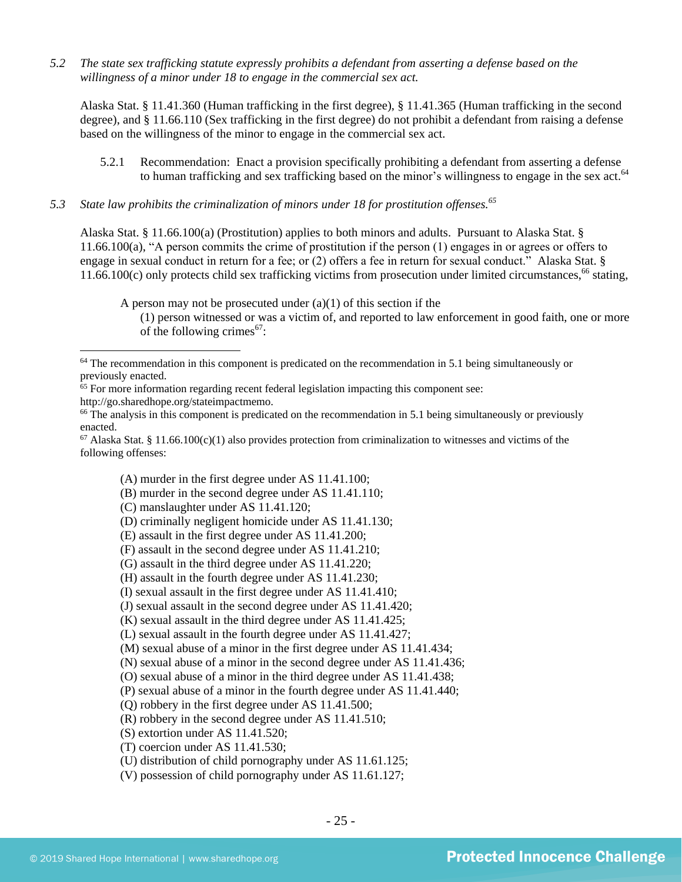*5.2 The state sex trafficking statute expressly prohibits a defendant from asserting a defense based on the willingness of a minor under 18 to engage in the commercial sex act.*

Alaska Stat. § 11.41.360 (Human trafficking in the first degree), § 11.41.365 (Human trafficking in the second degree), and § 11.66.110 (Sex trafficking in the first degree) do not prohibit a defendant from raising a defense based on the willingness of the minor to engage in the commercial sex act.

- 5.2.1 Recommendation: Enact a provision specifically prohibiting a defendant from asserting a defense to human trafficking and sex trafficking based on the minor's willingness to engage in the sex act.<sup>64</sup>
- *5.3 State law prohibits the criminalization of minors under 18 for prostitution offenses.<sup>65</sup>*

Alaska Stat. § 11.66.100(a) (Prostitution) applies to both minors and adults. Pursuant to Alaska Stat. § 11.66.100(a), "A person commits the crime of prostitution if the person (1) engages in or agrees or offers to engage in sexual conduct in return for a fee; or (2) offers a fee in return for sexual conduct." Alaska Stat. § 11.66.100(c) only protects child sex trafficking victims from prosecution under limited circumstances, <sup>66</sup> stating,

A person may not be prosecuted under  $(a)(1)$  of this section if the

(1) person witnessed or was a victim of, and reported to law enforcement in good faith, one or more of the following crimes $67$ :

http://go.sharedhope.org/stateimpactmemo.

<sup>66</sup> The analysis in this component is predicated on the recommendation in 5.1 being simultaneously or previously enacted.

 $67$  Alaska Stat. § 11.66.100(c)(1) also provides protection from criminalization to witnesses and victims of the following offenses:

(A) murder in the first degree under AS 11.41.100;

(B) murder in the second degree under AS 11.41.110;

- (C) manslaughter under AS 11.41.120;
- (D) criminally negligent homicide under AS 11.41.130;
- (E) assault in the first degree under AS 11.41.200;
- (F) assault in the second degree under AS 11.41.210;
- (G) assault in the third degree under AS 11.41.220;
- (H) assault in the fourth degree under AS 11.41.230;
- (I) sexual assault in the first degree under AS 11.41.410;
- (J) sexual assault in the second degree under AS 11.41.420;

(K) sexual assault in the third degree under AS 11.41.425;

(N) sexual abuse of a minor in the second degree under AS 11.41.436;

(O) sexual abuse of a minor in the third degree under AS 11.41.438;

(P) sexual abuse of a minor in the fourth degree under AS 11.41.440;

(Q) robbery in the first degree under AS 11.41.500;

(R) robbery in the second degree under AS 11.41.510;

(S) extortion under AS 11.41.520;

(T) coercion under AS 11.41.530;

(U) distribution of child pornography under AS 11.61.125;

(V) possession of child pornography under AS 11.61.127;

 $64$  The recommendation in this component is predicated on the recommendation in 5.1 being simultaneously or previously enacted.

<sup>&</sup>lt;sup>65</sup> For more information regarding recent federal legislation impacting this component see:

<sup>(</sup>L) sexual assault in the fourth degree under AS 11.41.427;

<sup>(</sup>M) sexual abuse of a minor in the first degree under AS 11.41.434;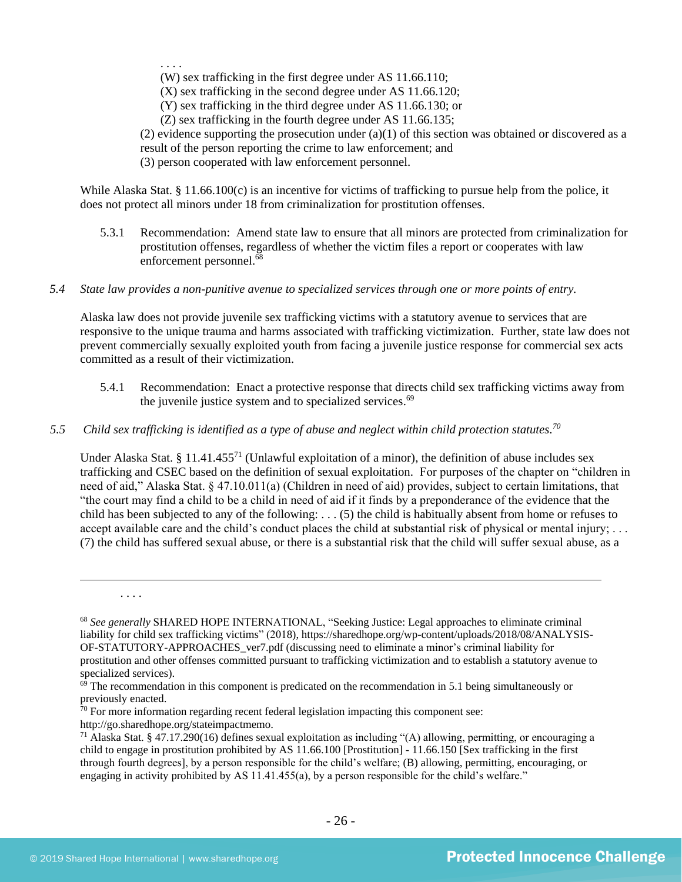. . . .

(W) sex trafficking in the first degree under AS 11.66.110;

(X) sex trafficking in the second degree under AS 11.66.120;

(Y) sex trafficking in the third degree under AS 11.66.130; or

(Z) sex trafficking in the fourth degree under AS 11.66.135;

(2) evidence supporting the prosecution under  $(a)(1)$  of this section was obtained or discovered as a result of the person reporting the crime to law enforcement; and

(3) person cooperated with law enforcement personnel.

While Alaska Stat. § 11.66.100(c) is an incentive for victims of trafficking to pursue help from the police, it does not protect all minors under 18 from criminalization for prostitution offenses.

- 5.3.1 Recommendation: Amend state law to ensure that all minors are protected from criminalization for prostitution offenses, regardless of whether the victim files a report or cooperates with law enforcement personnel.<sup>68</sup>
- *5.4 State law provides a non-punitive avenue to specialized services through one or more points of entry.*

Alaska law does not provide juvenile sex trafficking victims with a statutory avenue to services that are responsive to the unique trauma and harms associated with trafficking victimization. Further, state law does not prevent commercially sexually exploited youth from facing a juvenile justice response for commercial sex acts committed as a result of their victimization.

- 5.4.1 Recommendation: Enact a protective response that directs child sex trafficking victims away from the juvenile justice system and to specialized services.<sup>69</sup>
- *5.5 Child sex trafficking is identified as a type of abuse and neglect within child protection statutes. 70*

Under Alaska Stat. § 11.41.455<sup>71</sup> (Unlawful exploitation of a minor), the definition of abuse includes sex trafficking and CSEC based on the definition of sexual exploitation. For purposes of the chapter on "children in need of aid," Alaska Stat. § 47.10.011(a) (Children in need of aid) provides, subject to certain limitations, that "the court may find a child to be a child in need of aid if it finds by a preponderance of the evidence that the child has been subjected to any of the following: . . . (5) the child is habitually absent from home or refuses to accept available care and the child's conduct places the child at substantial risk of physical or mental injury; ... (7) the child has suffered sexual abuse, or there is a substantial risk that the child will suffer sexual abuse, as a

http://go.sharedhope.org/stateimpactmemo.

. . . .

<sup>68</sup> *See generally* SHARED HOPE INTERNATIONAL, "Seeking Justice: Legal approaches to eliminate criminal liability for child sex trafficking victims" (2018), https://sharedhope.org/wp-content/uploads/2018/08/ANALYSIS-OF-STATUTORY-APPROACHES\_ver7.pdf (discussing need to eliminate a minor's criminal liability for prostitution and other offenses committed pursuant to trafficking victimization and to establish a statutory avenue to specialized services).

 $69$  The recommendation in this component is predicated on the recommendation in 5.1 being simultaneously or previously enacted.

 $70$  For more information regarding recent federal legislation impacting this component see:

<sup>&</sup>lt;sup>71</sup> Alaska Stat. § 47.17.290(16) defines sexual exploitation as including "(A) allowing, permitting, or encouraging a child to engage in prostitution prohibited by AS 11.66.100 [Prostitution] - 11.66.150 [Sex trafficking in the first through fourth degrees], by a person responsible for the child's welfare; (B) allowing, permitting, encouraging, or engaging in activity prohibited by AS 11.41.455(a), by a person responsible for the child's welfare."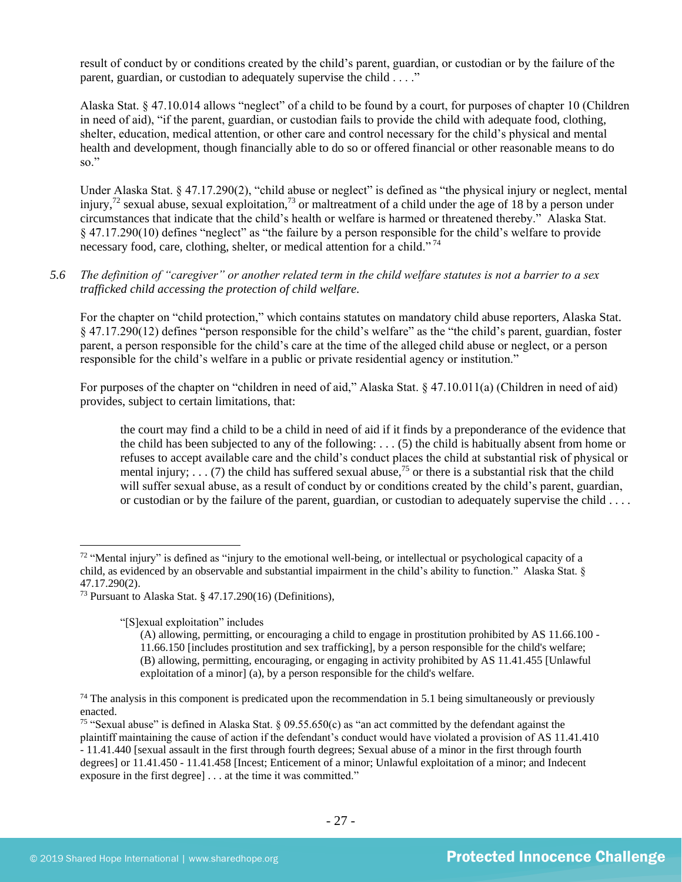result of conduct by or conditions created by the child's parent, guardian, or custodian or by the failure of the parent, guardian, or custodian to adequately supervise the child . . . ."

Alaska Stat. § 47.10.014 allows "neglect" of a child to be found by a court, for purposes of chapter 10 (Children in need of aid), "if the parent, guardian, or custodian fails to provide the child with adequate food, clothing, shelter, education, medical attention, or other care and control necessary for the child's physical and mental health and development, though financially able to do so or offered financial or other reasonable means to do so."

Under Alaska Stat. § 47.17.290(2), "child abuse or neglect" is defined as "the physical injury or neglect, mental injury,<sup>72</sup> sexual abuse, sexual exploitation,<sup>73</sup> or maltreatment of a child under the age of 18 by a person under circumstances that indicate that the child's health or welfare is harmed or threatened thereby." Alaska Stat. § 47.17.290(10) defines "neglect" as "the failure by a person responsible for the child's welfare to provide necessary food, care, clothing, shelter, or medical attention for a child."<sup>74</sup>

# *5.6 The definition of "caregiver" or another related term in the child welfare statutes is not a barrier to a sex trafficked child accessing the protection of child welfare.*

For the chapter on "child protection," which contains statutes on mandatory child abuse reporters, Alaska Stat. § 47.17.290(12) defines "person responsible for the child's welfare" as the "the child's parent, guardian, foster parent, a person responsible for the child's care at the time of the alleged child abuse or neglect, or a person responsible for the child's welfare in a public or private residential agency or institution."

For purposes of the chapter on "children in need of aid," Alaska Stat. § 47.10.011(a) (Children in need of aid) provides, subject to certain limitations, that:

<span id="page-26-0"></span>the court may find a child to be a child in need of aid if it finds by a preponderance of the evidence that the child has been subjected to any of the following: . . . (5) the child is habitually absent from home or refuses to accept available care and the child's conduct places the child at substantial risk of physical or mental injury; . . . (7) the child has suffered sexual abuse,<sup>75</sup> or there is a substantial risk that the child will suffer sexual abuse, as a result of conduct by or conditions created by the child's parent, guardian, or custodian or by the failure of the parent, guardian, or custodian to adequately supervise the child . . . .

"[S]exual exploitation" includes

 $72$  "Mental injury" is defined as "injury to the emotional well-being, or intellectual or psychological capacity of a child, as evidenced by an observable and substantial impairment in the child's ability to function." Alaska Stat. § 47.17.290(2).

<sup>73</sup> Pursuant to Alaska Stat. § 47.17.290(16) (Definitions),

<sup>(</sup>A) allowing, permitting, or encouraging a child to engage in prostitution prohibited by AS 11.66.100 - 11.66.150 [includes prostitution and sex trafficking], by a person responsible for the child's welfare; (B) allowing, permitting, encouraging, or engaging in activity prohibited by AS 11.41.455 [Unlawful exploitation of a minor] (a), by a person responsible for the child's welfare.

 $74$  The analysis in this component is predicated upon the recommendation in 5.1 being simultaneously or previously enacted.

<sup>&</sup>lt;sup>75</sup> "Sexual abuse" is defined in Alaska Stat.  $\S$  09.55.650(c) as "an act committed by the defendant against the plaintiff maintaining the cause of action if the defendant's conduct would have violated a provision of AS 11.41.410 - 11.41.440 [sexual assault in the first through fourth degrees; Sexual abuse of a minor in the first through fourth degrees] or 11.41.450 - 11.41.458 [Incest; Enticement of a minor; Unlawful exploitation of a minor; and Indecent exposure in the first degree] . . . at the time it was committed."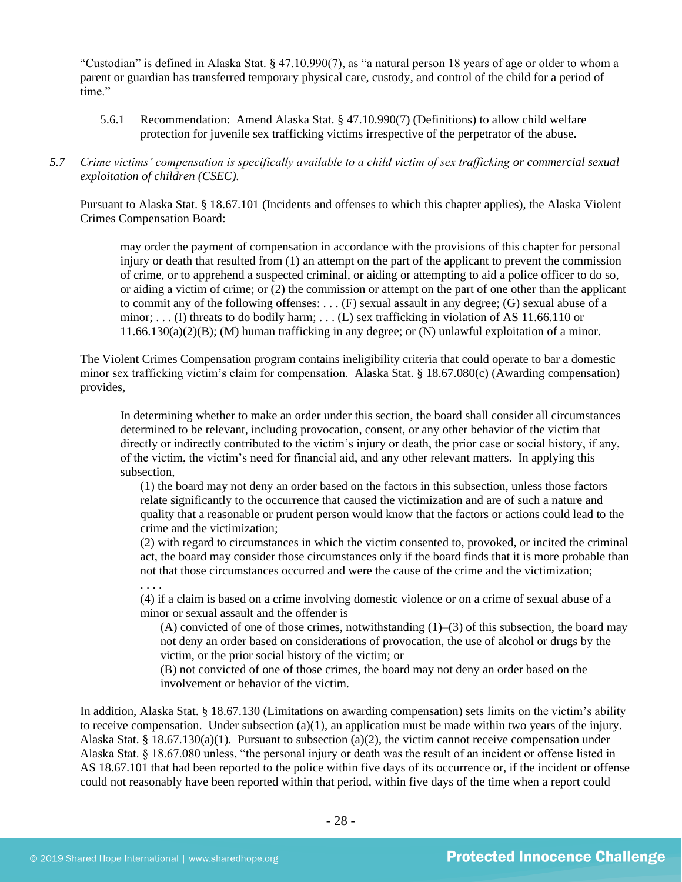"Custodian" is defined in Alaska Stat. § 47.10.990(7), as "a natural person 18 years of age or older to whom a parent or guardian has transferred temporary physical care, custody, and control of the child for a period of time."

- 5.6.1 Recommendation: Amend Alaska Stat. § 47.10.990(7) (Definitions) to allow child welfare protection for juvenile sex trafficking victims irrespective of the perpetrator of the abuse.
- *5.7 Crime victims' compensation is specifically available to a child victim of sex trafficking or commercial sexual exploitation of children (CSEC).*

Pursuant to Alaska Stat. § 18.67.101 (Incidents and offenses to which this chapter applies), the Alaska Violent Crimes Compensation Board:

may order the payment of compensation in accordance with the provisions of this chapter for personal injury or death that resulted from (1) an attempt on the part of the applicant to prevent the commission of crime, or to apprehend a suspected criminal, or aiding or attempting to aid a police officer to do so, or aiding a victim of crime; or (2) the commission or attempt on the part of one other than the applicant to commit any of the following offenses: . . . (F) sexual assault in any degree; (G) sexual abuse of a minor; . . . (I) threats to do bodily harm; . . . (L) sex trafficking in violation of AS 11.66.110 or 11.66.130(a)(2)(B); (M) human trafficking in any degree; or (N) unlawful exploitation of a minor.

The Violent Crimes Compensation program contains ineligibility criteria that could operate to bar a domestic minor sex trafficking victim's claim for compensation. Alaska Stat. § 18.67.080(c) (Awarding compensation) provides,

In determining whether to make an order under this section, the board shall consider all circumstances determined to be relevant, including provocation, consent, or any other behavior of the victim that directly or indirectly contributed to the victim's injury or death, the prior case or social history, if any, of the victim, the victim's need for financial aid, and any other relevant matters. In applying this subsection,

(1) the board may not deny an order based on the factors in this subsection, unless those factors relate significantly to the occurrence that caused the victimization and are of such a nature and quality that a reasonable or prudent person would know that the factors or actions could lead to the crime and the victimization;

(2) with regard to circumstances in which the victim consented to, provoked, or incited the criminal act, the board may consider those circumstances only if the board finds that it is more probable than not that those circumstances occurred and were the cause of the crime and the victimization;

. . . .

(4) if a claim is based on a crime involving domestic violence or on a crime of sexual abuse of a minor or sexual assault and the offender is

(A) convicted of one of those crimes, notwithstanding  $(1)$ –(3) of this subsection, the board may not deny an order based on considerations of provocation, the use of alcohol or drugs by the victim, or the prior social history of the victim; or

(B) not convicted of one of those crimes, the board may not deny an order based on the involvement or behavior of the victim.

In addition, Alaska Stat. § 18.67.130 (Limitations on awarding compensation) sets limits on the victim's ability to receive compensation. Under subsection  $(a)(1)$ , an application must be made within two years of the injury. Alaska Stat. § 18.67.130(a)(1). Pursuant to subsection (a)(2), the victim cannot receive compensation under Alaska Stat. § 18.67.080 unless, "the personal injury or death was the result of an incident or offense listed in AS 18.67.101 that had been reported to the police within five days of its occurrence or, if the incident or offense could not reasonably have been reported within that period, within five days of the time when a report could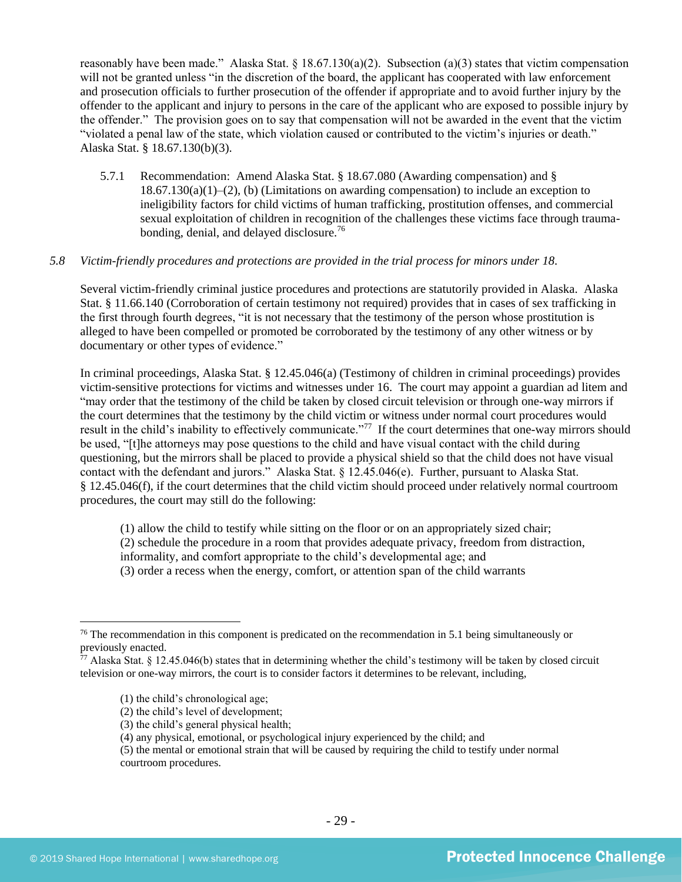reasonably have been made." Alaska Stat. § 18.67.130(a)(2). Subsection (a)(3) states that victim compensation will not be granted unless "in the discretion of the board, the applicant has cooperated with law enforcement and prosecution officials to further prosecution of the offender if appropriate and to avoid further injury by the offender to the applicant and injury to persons in the care of the applicant who are exposed to possible injury by the offender." The provision goes on to say that compensation will not be awarded in the event that the victim "violated a penal law of the state, which violation caused or contributed to the victim's injuries or death." Alaska Stat. § 18.67.130(b)(3).

5.7.1 Recommendation: Amend Alaska Stat. § 18.67.080 (Awarding compensation) and §  $18.67.130(a)(1)–(2)$ , (b) (Limitations on awarding compensation) to include an exception to ineligibility factors for child victims of human trafficking, prostitution offenses, and commercial sexual exploitation of children in recognition of the challenges these victims face through traumabonding, denial, and delayed disclosure.<sup>76</sup>

# *5.8 Victim-friendly procedures and protections are provided in the trial process for minors under 18.*

Several victim-friendly criminal justice procedures and protections are statutorily provided in Alaska. Alaska Stat. § 11.66.140 (Corroboration of certain testimony not required) provides that in cases of sex trafficking in the first through fourth degrees, "it is not necessary that the testimony of the person whose prostitution is alleged to have been compelled or promoted be corroborated by the testimony of any other witness or by documentary or other types of evidence."

In criminal proceedings, Alaska Stat. § 12.45.046(a) (Testimony of children in criminal proceedings) provides victim-sensitive protections for victims and witnesses under 16. The court may appoint a guardian ad litem and "may order that the testimony of the child be taken by closed circuit television or through one-way mirrors if the court determines that the testimony by the child victim or witness under normal court procedures would result in the child's inability to effectively communicate."<sup>77</sup> If the court determines that one-way mirrors should be used, "[t]he attorneys may pose questions to the child and have visual contact with the child during questioning, but the mirrors shall be placed to provide a physical shield so that the child does not have visual contact with the defendant and jurors." Alaska Stat. § 12.45.046(e). Further, pursuant to Alaska Stat. § 12.45.046(f), if the court determines that the child victim should proceed under relatively normal courtroom procedures, the court may still do the following:

(1) allow the child to testify while sitting on the floor or on an appropriately sized chair; (2) schedule the procedure in a room that provides adequate privacy, freedom from distraction, informality, and comfort appropriate to the child's developmental age; and (3) order a recess when the energy, comfort, or attention span of the child warrants

- (2) the child's level of development;
- (3) the child's general physical health;

 $76$  The recommendation in this component is predicated on the recommendation in 5.1 being simultaneously or previously enacted.

 $77$  Alaska Stat. § 12.45.046(b) states that in determining whether the child's testimony will be taken by closed circuit television or one-way mirrors, the court is to consider factors it determines to be relevant, including,

<sup>(1)</sup> the child's chronological age;

<sup>(4)</sup> any physical, emotional, or psychological injury experienced by the child; and

<sup>(5)</sup> the mental or emotional strain that will be caused by requiring the child to testify under normal courtroom procedures.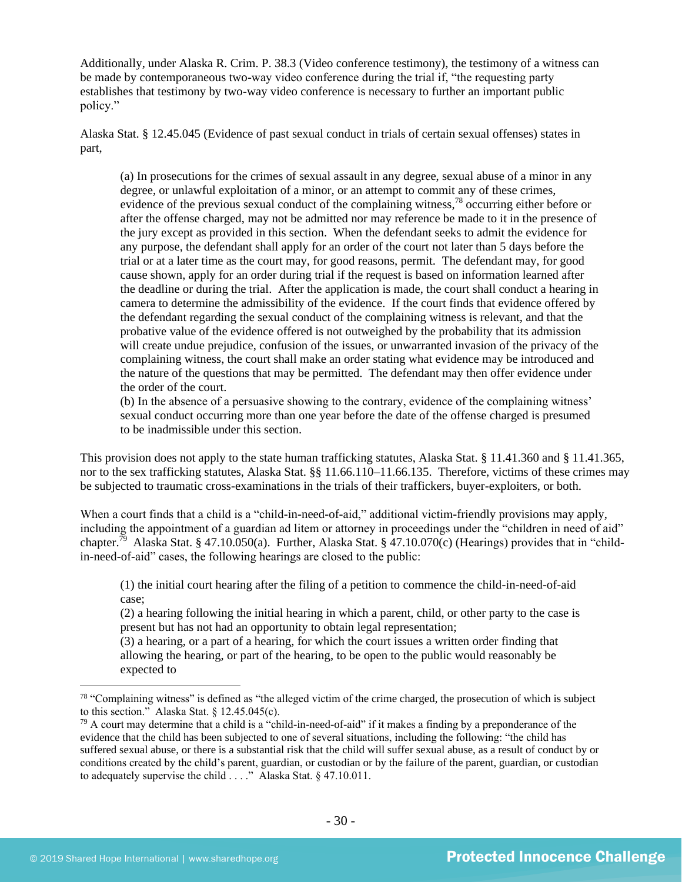Additionally, under Alaska R. Crim. P. 38.3 (Video conference testimony), the testimony of a witness can be made by contemporaneous two-way video conference during the trial if, "the requesting party establishes that testimony by two-way video conference is necessary to further an important public policy."

Alaska Stat. § 12.45.045 (Evidence of past sexual conduct in trials of certain sexual offenses) states in part,

(a) In prosecutions for the crimes of sexual assault in any degree, sexual abuse of a minor in any degree, or unlawful exploitation of a minor, or an attempt to commit any of these crimes, evidence of the previous sexual conduct of the complaining witness,<sup>78</sup> occurring either before or after the offense charged, may not be admitted nor may reference be made to it in the presence of the jury except as provided in this section. When the defendant seeks to admit the evidence for any purpose, the defendant shall apply for an order of the court not later than 5 days before the trial or at a later time as the court may, for good reasons, permit. The defendant may, for good cause shown, apply for an order during trial if the request is based on information learned after the deadline or during the trial. After the application is made, the court shall conduct a hearing in camera to determine the admissibility of the evidence. If the court finds that evidence offered by the defendant regarding the sexual conduct of the complaining witness is relevant, and that the probative value of the evidence offered is not outweighed by the probability that its admission will create undue prejudice, confusion of the issues, or unwarranted invasion of the privacy of the complaining witness, the court shall make an order stating what evidence may be introduced and the nature of the questions that may be permitted. The defendant may then offer evidence under the order of the court.

(b) In the absence of a persuasive showing to the contrary, evidence of the complaining witness' sexual conduct occurring more than one year before the date of the offense charged is presumed to be inadmissible under this section.

This provision does not apply to the state human trafficking statutes, Alaska Stat. § 11.41.360 and § 11.41.365, nor to the sex trafficking statutes, Alaska Stat. §§ 11.66.110–11.66.135. Therefore, victims of these crimes may be subjected to traumatic cross-examinations in the trials of their traffickers, buyer-exploiters, or both.

When a court finds that a child is a "child-in-need-of-aid," additional victim-friendly provisions may apply, including the appointment of a guardian ad litem or attorney in proceedings under the "children in need of aid" chapter.<sup>79</sup> Alaska Stat. § 47.10.050(a). Further, Alaska Stat. § 47.10.070(c) (Hearings) provides that in "childin-need-of-aid" cases, the following hearings are closed to the public:

(1) the initial court hearing after the filing of a petition to commence the child-in-need-of-aid case;

(2) a hearing following the initial hearing in which a parent, child, or other party to the case is present but has not had an opportunity to obtain legal representation;

(3) a hearing, or a part of a hearing, for which the court issues a written order finding that allowing the hearing, or part of the hearing, to be open to the public would reasonably be expected to

<sup>&</sup>lt;sup>78</sup> "Complaining witness" is defined as "the alleged victim of the crime charged, the prosecution of which is subject to this section." Alaska Stat. § 12.45.045(c).

 $^{79}$  A court may determine that a child is a "child-in-need-of-aid" if it makes a finding by a preponderance of the evidence that the child has been subjected to one of several situations, including the following: "the child has suffered sexual abuse, or there is a substantial risk that the child will suffer sexual abuse, as a result of conduct by or conditions created by the child's parent, guardian, or custodian or by the failure of the parent, guardian, or custodian to adequately supervise the child . . . ." Alaska Stat. § 47.10.011.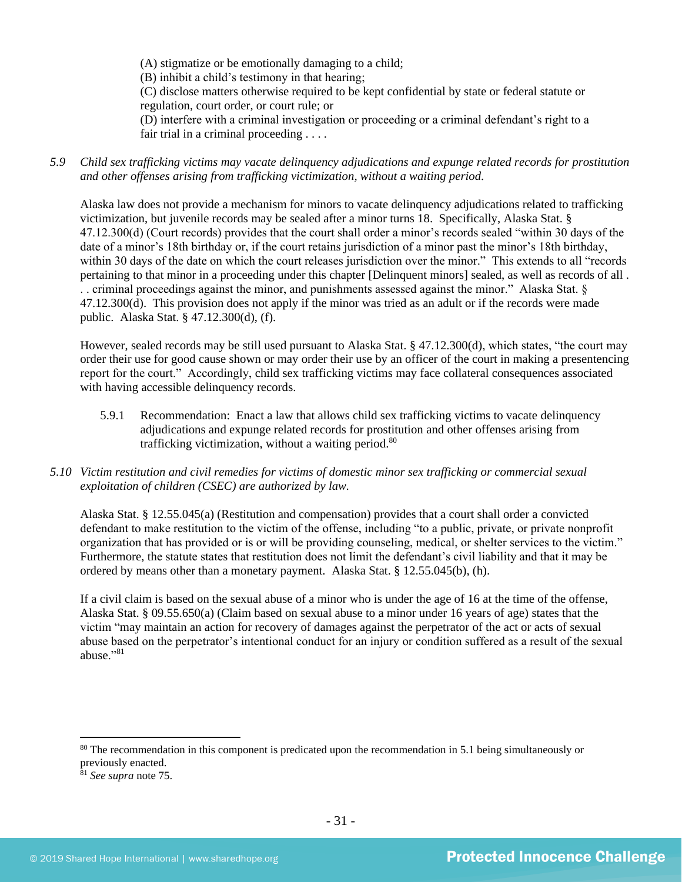(A) stigmatize or be emotionally damaging to a child;

(B) inhibit a child's testimony in that hearing;

(C) disclose matters otherwise required to be kept confidential by state or federal statute or regulation, court order, or court rule; or

(D) interfere with a criminal investigation or proceeding or a criminal defendant's right to a fair trial in a criminal proceeding . . . .

*5.9 Child sex trafficking victims may vacate delinquency adjudications and expunge related records for prostitution and other offenses arising from trafficking victimization, without a waiting period.*

Alaska law does not provide a mechanism for minors to vacate delinquency adjudications related to trafficking victimization, but juvenile records may be sealed after a minor turns 18. Specifically, Alaska Stat. § 47.12.300(d) (Court records) provides that the court shall order a minor's records sealed "within 30 days of the date of a minor's 18th birthday or, if the court retains jurisdiction of a minor past the minor's 18th birthday, within 30 days of the date on which the court releases jurisdiction over the minor." This extends to all "records pertaining to that minor in a proceeding under this chapter [Delinquent minors] sealed, as well as records of all . . . criminal proceedings against the minor, and punishments assessed against the minor." Alaska Stat. § 47.12.300(d). This provision does not apply if the minor was tried as an adult or if the records were made public. Alaska Stat. § 47.12.300(d), (f).

However, sealed records may be still used pursuant to Alaska Stat. § 47.12.300(d), which states, "the court may order their use for good cause shown or may order their use by an officer of the court in making a presentencing report for the court." Accordingly, child sex trafficking victims may face collateral consequences associated with having accessible delinquency records.

- 5.9.1 Recommendation: Enact a law that allows child sex trafficking victims to vacate delinquency adjudications and expunge related records for prostitution and other offenses arising from trafficking victimization, without a waiting period.<sup>80</sup>
- *5.10 Victim restitution and civil remedies for victims of domestic minor sex trafficking or commercial sexual exploitation of children (CSEC) are authorized by law.*

Alaska Stat. § 12.55.045(a) (Restitution and compensation) provides that a court shall order a convicted defendant to make restitution to the victim of the offense, including "to a public, private, or private nonprofit organization that has provided or is or will be providing counseling, medical, or shelter services to the victim." Furthermore, the statute states that restitution does not limit the defendant's civil liability and that it may be ordered by means other than a monetary payment. Alaska Stat. § 12.55.045(b), (h).

If a civil claim is based on the sexual abuse of a minor who is under the age of 16 at the time of the offense, Alaska Stat. § 09.55.650(a) (Claim based on sexual abuse to a minor under 16 years of age) states that the victim "may maintain an action for recovery of damages against the perpetrator of the act or acts of sexual abuse based on the perpetrator's intentional conduct for an injury or condition suffered as a result of the sexual abuse."<sup>81</sup>

<sup>&</sup>lt;sup>80</sup> The recommendation in this component is predicated upon the recommendation in 5.1 being simultaneously or previously enacted.

<sup>81</sup> *See supra* note [75.](#page-26-0)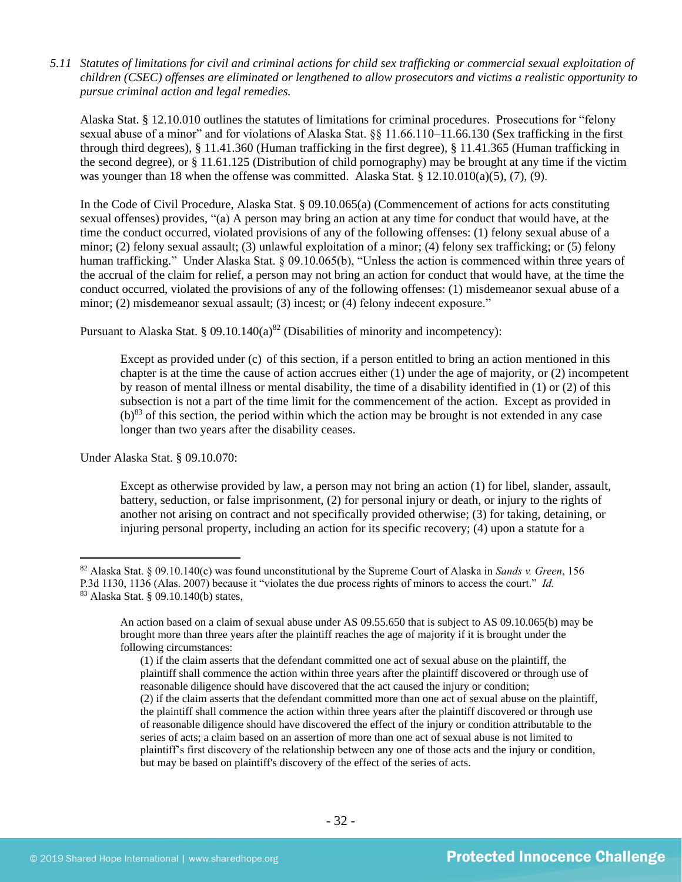*5.11 Statutes of limitations for civil and criminal actions for child sex trafficking or commercial sexual exploitation of children (CSEC) offenses are eliminated or lengthened to allow prosecutors and victims a realistic opportunity to pursue criminal action and legal remedies.*

Alaska Stat. § 12.10.010 outlines the statutes of limitations for criminal procedures. Prosecutions for "felony sexual abuse of a minor" and for violations of Alaska Stat. §§ 11.66.110–11.66.130 (Sex trafficking in the first through third degrees), § 11.41.360 (Human trafficking in the first degree), § 11.41.365 (Human trafficking in the second degree), or § 11.61.125 (Distribution of child pornography) may be brought at any time if the victim was younger than 18 when the offense was committed. Alaska Stat. §  $12.10.010(a)(5)$ ,  $(7)$ ,  $(9)$ .

In the Code of Civil Procedure, Alaska Stat. § 09.10.065(a) (Commencement of actions for acts constituting sexual offenses) provides, "(a) A person may bring an action at any time for conduct that would have, at the time the conduct occurred, violated provisions of any of the following offenses: (1) felony sexual abuse of a minor; (2) felony sexual assault; (3) unlawful exploitation of a minor; (4) felony sex trafficking; or (5) felony human trafficking." Under Alaska Stat. § 09.10.065(b), "Unless the action is commenced within three years of the accrual of the claim for relief, a person may not bring an action for conduct that would have, at the time the conduct occurred, violated the provisions of any of the following offenses: (1) misdemeanor sexual abuse of a minor; (2) misdemeanor sexual assault; (3) incest; or (4) felony indecent exposure."

Pursuant to Alaska Stat. § 09.10.140(a)<sup>82</sup> (Disabilities of minority and incompetency):

Except as provided under (c) of this section, if a person entitled to bring an action mentioned in this chapter is at the time the cause of action accrues either (1) under the age of majority, or (2) incompetent by reason of mental illness or mental disability, the time of a disability identified in (1) or (2) of this subsection is not a part of the time limit for the commencement of the action. Except as provided in  $(b)^{83}$  of this section, the period within which the action may be brought is not extended in any case longer than two years after the disability ceases.

Under Alaska Stat. § 09.10.070:

Except as otherwise provided by law, a person may not bring an action (1) for libel, slander, assault, battery, seduction, or false imprisonment, (2) for personal injury or death, or injury to the rights of another not arising on contract and not specifically provided otherwise; (3) for taking, detaining, or injuring personal property, including an action for its specific recovery; (4) upon a statute for a

<sup>82</sup> Alaska Stat. § 09.10.140(c) was found unconstitutional by the Supreme Court of Alaska in *Sands v. Green*, 156 P.3d 1130, 1136 (Alas. 2007) because it "violates the due process rights of minors to access the court." *Id.* <sup>83</sup> Alaska Stat. § 09.10.140(b) states,

An action based on a claim of sexual abuse under AS 09.55.650 that is subject to AS 09.10.065(b) may be brought more than three years after the plaintiff reaches the age of majority if it is brought under the following circumstances:

<sup>(1)</sup> if the claim asserts that the defendant committed one act of sexual abuse on the plaintiff, the plaintiff shall commence the action within three years after the plaintiff discovered or through use of reasonable diligence should have discovered that the act caused the injury or condition; (2) if the claim asserts that the defendant committed more than one act of sexual abuse on the plaintiff, the plaintiff shall commence the action within three years after the plaintiff discovered or through use of reasonable diligence should have discovered the effect of the injury or condition attributable to the series of acts; a claim based on an assertion of more than one act of sexual abuse is not limited to plaintiff's first discovery of the relationship between any one of those acts and the injury or condition, but may be based on plaintiff's discovery of the effect of the series of acts.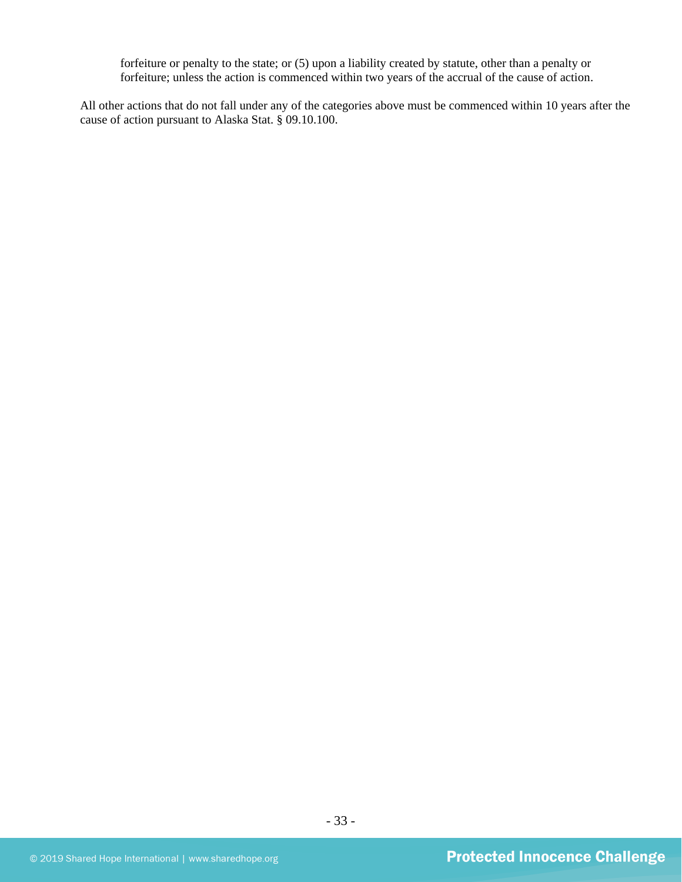forfeiture or penalty to the state; or (5) upon a liability created by statute, other than a penalty or forfeiture; unless the action is commenced within two years of the accrual of the cause of action.

All other actions that do not fall under any of the categories above must be commenced within 10 years after the cause of action pursuant to Alaska Stat. § 09.10.100.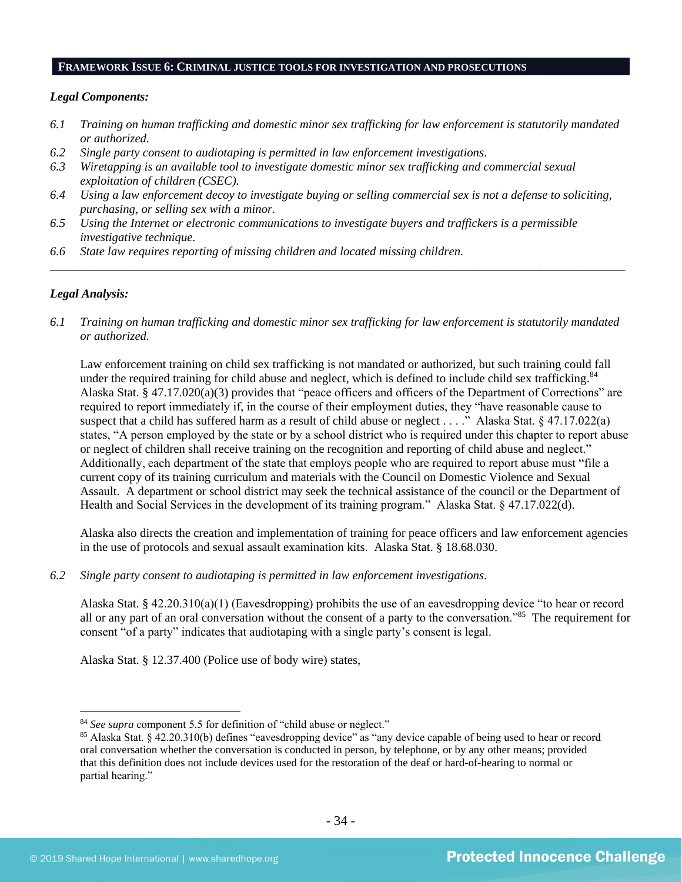### **FRAMEWORK ISSUE 6: CRIMINAL JUSTICE TOOLS FOR INVESTIGATION AND PROSECUTIONS**

#### *Legal Components:*

- *6.1 Training on human trafficking and domestic minor sex trafficking for law enforcement is statutorily mandated or authorized.*
- *6.2 Single party consent to audiotaping is permitted in law enforcement investigations.*
- *6.3 Wiretapping is an available tool to investigate domestic minor sex trafficking and commercial sexual exploitation of children (CSEC).*
- *6.4 Using a law enforcement decoy to investigate buying or selling commercial sex is not a defense to soliciting, purchasing, or selling sex with a minor.*
- *6.5 Using the Internet or electronic communications to investigate buyers and traffickers is a permissible investigative technique.*
- *6.6 State law requires reporting of missing children and located missing children.*

# *Legal Analysis:*

*6.1 Training on human trafficking and domestic minor sex trafficking for law enforcement is statutorily mandated or authorized.*

*\_\_\_\_\_\_\_\_\_\_\_\_\_\_\_\_\_\_\_\_\_\_\_\_\_\_\_\_\_\_\_\_\_\_\_\_\_\_\_\_\_\_\_\_\_\_\_\_\_\_\_\_\_\_\_\_\_\_\_\_\_\_\_\_\_\_\_\_\_\_\_\_\_\_\_\_\_\_\_\_\_\_\_\_\_\_\_\_\_\_\_\_\_\_*

Law enforcement training on child sex trafficking is not mandated or authorized, but such training could fall under the required training for child abuse and neglect, which is defined to include child sex trafficking.<sup>84</sup> Alaska Stat. § 47.17.020(a)(3) provides that "peace officers and officers of the Department of Corrections" are required to report immediately if, in the course of their employment duties, they "have reasonable cause to suspect that a child has suffered harm as a result of child abuse or neglect . . . ." Alaska Stat. § 47.17.022(a) states, "A person employed by the state or by a school district who is required under this chapter to report abuse or neglect of children shall receive training on the recognition and reporting of child abuse and neglect." Additionally, each department of the state that employs people who are required to report abuse must "file a current copy of its training curriculum and materials with the Council on Domestic Violence and Sexual Assault. A department or school district may seek the technical assistance of the council or the Department of Health and Social Services in the development of its training program." Alaska Stat. § 47.17.022(d).

Alaska also directs the creation and implementation of training for peace officers and law enforcement agencies in the use of protocols and sexual assault examination kits. Alaska Stat. § 18.68.030.

*6.2 Single party consent to audiotaping is permitted in law enforcement investigations.*

Alaska Stat. § 42.20.310(a)(1) (Eavesdropping) prohibits the use of an eavesdropping device "to hear or record all or any part of an oral conversation without the consent of a party to the conversation."<sup>85</sup> The requirement for consent "of a party" indicates that audiotaping with a single party's consent is legal.

Alaska Stat. § 12.37.400 (Police use of body wire) states,

<sup>&</sup>lt;sup>84</sup> See supra component 5.5 for definition of "child abuse or neglect."

<sup>85</sup> Alaska Stat. § 42.20.310(b) defines "eavesdropping device" as "any device capable of being used to hear or record oral conversation whether the conversation is conducted in person, by telephone, or by any other means; provided that this definition does not include devices used for the restoration of the deaf or hard-of-hearing to normal or partial hearing."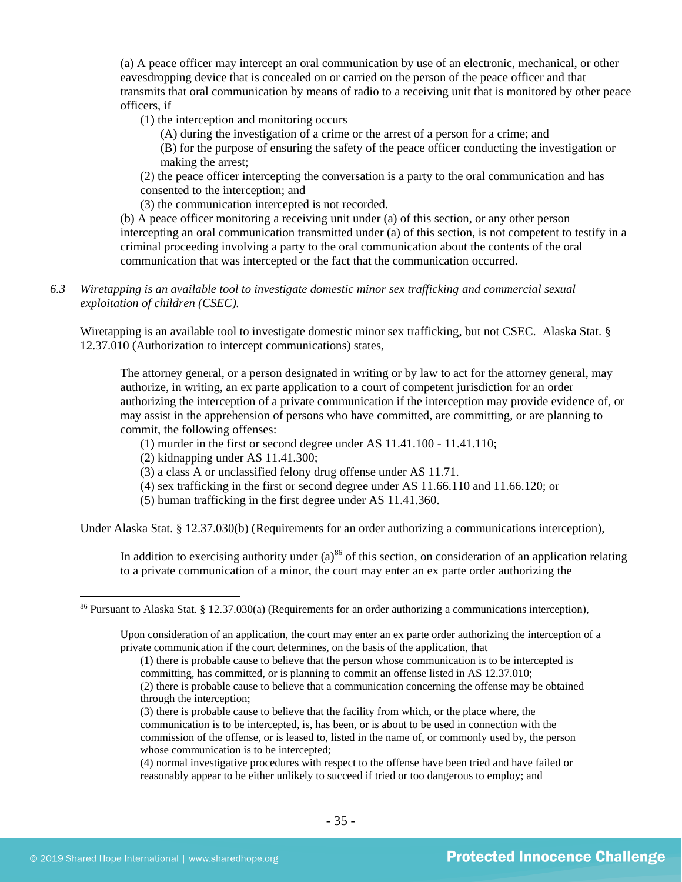(a) A peace officer may intercept an oral communication by use of an electronic, mechanical, or other eavesdropping device that is concealed on or carried on the person of the peace officer and that transmits that oral communication by means of radio to a receiving unit that is monitored by other peace officers, if

(1) the interception and monitoring occurs

(A) during the investigation of a crime or the arrest of a person for a crime; and

(B) for the purpose of ensuring the safety of the peace officer conducting the investigation or making the arrest;

(2) the peace officer intercepting the conversation is a party to the oral communication and has consented to the interception; and

(3) the communication intercepted is not recorded.

(b) A peace officer monitoring a receiving unit under (a) of this section, or any other person intercepting an oral communication transmitted under (a) of this section, is not competent to testify in a criminal proceeding involving a party to the oral communication about the contents of the oral communication that was intercepted or the fact that the communication occurred.

*6.3 Wiretapping is an available tool to investigate domestic minor sex trafficking and commercial sexual exploitation of children (CSEC).* 

Wiretapping is an available tool to investigate domestic minor sex trafficking, but not CSEC. Alaska Stat. § 12.37.010 (Authorization to intercept communications) states,

The attorney general, or a person designated in writing or by law to act for the attorney general, may authorize, in writing, an ex parte application to a court of competent jurisdiction for an order authorizing the interception of a private communication if the interception may provide evidence of, or may assist in the apprehension of persons who have committed, are committing, or are planning to commit, the following offenses:

- (1) murder in the first or second degree under AS 11.41.100 11.41.110;
- (2) kidnapping under AS 11.41.300;
- (3) a class A or unclassified felony drug offense under AS 11.71.
- (4) sex trafficking in the first or second degree under AS 11.66.110 and 11.66.120; or
- (5) human trafficking in the first degree under AS 11.41.360.

Under Alaska Stat. § 12.37.030(b) (Requirements for an order authorizing a communications interception),

In addition to exercising authority under  $(a)$ <sup>86</sup> of this section, on consideration of an application relating to a private communication of a minor, the court may enter an ex parte order authorizing the

(4) normal investigative procedures with respect to the offense have been tried and have failed or reasonably appear to be either unlikely to succeed if tried or too dangerous to employ; and

<sup>&</sup>lt;sup>86</sup> Pursuant to Alaska Stat. § 12.37.030(a) (Requirements for an order authorizing a communications interception),

Upon consideration of an application, the court may enter an ex parte order authorizing the interception of a private communication if the court determines, on the basis of the application, that

<sup>(1)</sup> there is probable cause to believe that the person whose communication is to be intercepted is committing, has committed, or is planning to commit an offense listed in AS 12.37.010;

<sup>(2)</sup> there is probable cause to believe that a communication concerning the offense may be obtained through the interception;

<sup>(3)</sup> there is probable cause to believe that the facility from which, or the place where, the communication is to be intercepted, is, has been, or is about to be used in connection with the commission of the offense, or is leased to, listed in the name of, or commonly used by, the person whose communication is to be intercepted;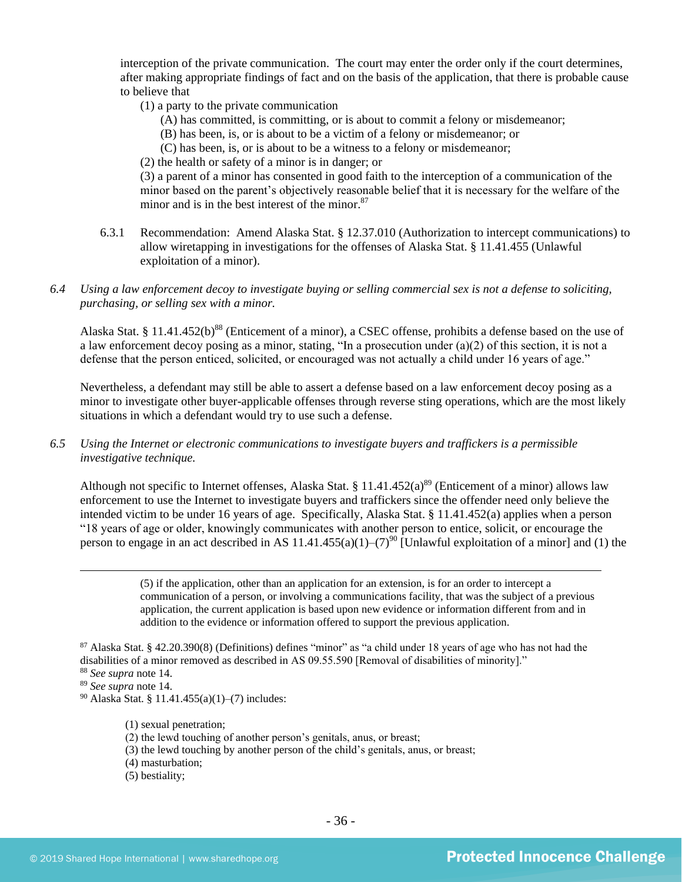interception of the private communication. The court may enter the order only if the court determines, after making appropriate findings of fact and on the basis of the application, that there is probable cause to believe that

- (1) a party to the private communication
	- (A) has committed, is committing, or is about to commit a felony or misdemeanor;
	- (B) has been, is, or is about to be a victim of a felony or misdemeanor; or
	- (C) has been, is, or is about to be a witness to a felony or misdemeanor;
- (2) the health or safety of a minor is in danger; or

(3) a parent of a minor has consented in good faith to the interception of a communication of the minor based on the parent's objectively reasonable belief that it is necessary for the welfare of the minor and is in the best interest of the minor.<sup>87</sup>

- 6.3.1 Recommendation: Amend Alaska Stat. § 12.37.010 (Authorization to intercept communications) to allow wiretapping in investigations for the offenses of Alaska Stat. § 11.41.455 (Unlawful exploitation of a minor).
- *6.4 Using a law enforcement decoy to investigate buying or selling commercial sex is not a defense to soliciting, purchasing, or selling sex with a minor.*

Alaska Stat. § 11.41.452(b)<sup>88</sup> (Enticement of a minor), a CSEC offense, prohibits a defense based on the use of a law enforcement decoy posing as a minor, stating, "In a prosecution under (a)(2) of this section, it is not a defense that the person enticed, solicited, or encouraged was not actually a child under 16 years of age."

Nevertheless, a defendant may still be able to assert a defense based on a law enforcement decoy posing as a minor to investigate other buyer-applicable offenses through reverse sting operations, which are the most likely situations in which a defendant would try to use such a defense.

*6.5 Using the Internet or electronic communications to investigate buyers and traffickers is a permissible investigative technique.*

Although not specific to Internet offenses, Alaska Stat. § 11.41.452(a)<sup>89</sup> (Enticement of a minor) allows law enforcement to use the Internet to investigate buyers and traffickers since the offender need only believe the intended victim to be under 16 years of age. Specifically, Alaska Stat. § 11.41.452(a) applies when a person "18 years of age or older, knowingly communicates with another person to entice, solicit, or encourage the person to engage in an act described in AS 11.41.455(a)(1)–(7)<sup>90</sup> [Unlawful exploitation of a minor] and (1) the

> (5) if the application, other than an application for an extension, is for an order to intercept a communication of a person, or involving a communications facility, that was the subject of a previous application, the current application is based upon new evidence or information different from and in addition to the evidence or information offered to support the previous application.

 $87$  Alaska Stat. § 42.20.390(8) (Definitions) defines "minor" as "a child under 18 years of age who has not had the disabilities of a minor removed as described in AS 09.55.590 [Removal of disabilities of minority]."

- <sup>88</sup> *See supra* note [14.](#page-4-0)
- <sup>89</sup> *See supra* note [14.](#page-4-0)

<sup>90</sup> Alaska Stat. § 11.41.455(a)(1)–(7) includes:

- (1) sexual penetration;
- (2) the lewd touching of another person's genitals, anus, or breast;
- (3) the lewd touching by another person of the child's genitals, anus, or breast;
- (4) masturbation;
- (5) bestiality;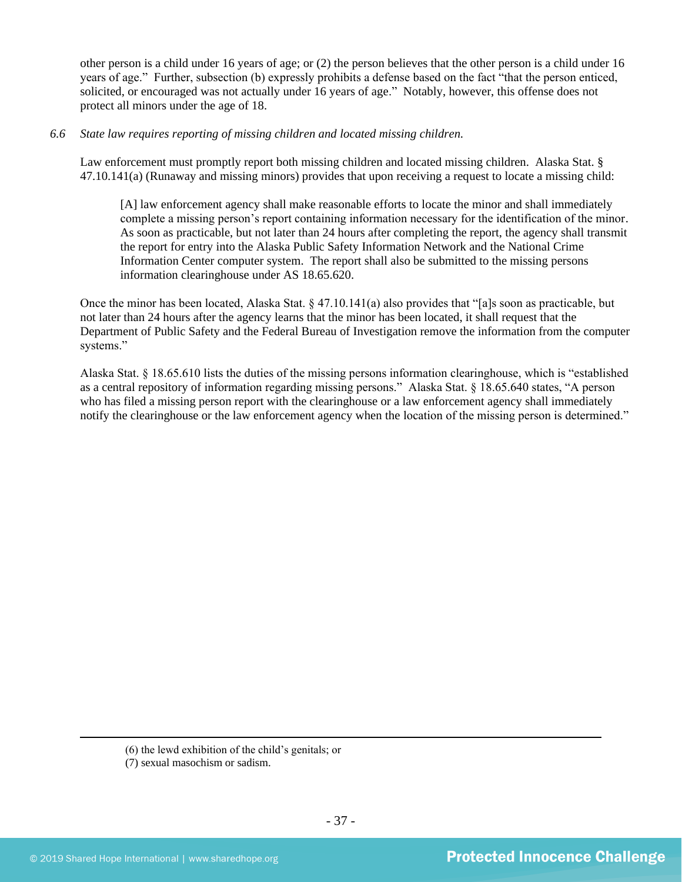other person is a child under 16 years of age; or (2) the person believes that the other person is a child under 16 years of age." Further, subsection (b) expressly prohibits a defense based on the fact "that the person enticed, solicited, or encouraged was not actually under 16 years of age." Notably, however, this offense does not protect all minors under the age of 18.

# *6.6 State law requires reporting of missing children and located missing children.*

Law enforcement must promptly report both missing children and located missing children. Alaska Stat. § 47.10.141(a) (Runaway and missing minors) provides that upon receiving a request to locate a missing child:

[A] law enforcement agency shall make reasonable efforts to locate the minor and shall immediately complete a missing person's report containing information necessary for the identification of the minor. As soon as practicable, but not later than 24 hours after completing the report, the agency shall transmit the report for entry into the Alaska Public Safety Information Network and the National Crime Information Center computer system. The report shall also be submitted to the missing persons information clearinghouse under AS 18.65.620.

Once the minor has been located, Alaska Stat. § 47.10.141(a) also provides that "[a]s soon as practicable, but not later than 24 hours after the agency learns that the minor has been located, it shall request that the Department of Public Safety and the Federal Bureau of Investigation remove the information from the computer systems."

Alaska Stat. § 18.65.610 lists the duties of the missing persons information clearinghouse, which is "established as a central repository of information regarding missing persons." Alaska Stat. § 18.65.640 states, "A person who has filed a missing person report with the clearinghouse or a law enforcement agency shall immediately notify the clearinghouse or the law enforcement agency when the location of the missing person is determined."

(6) the lewd exhibition of the child's genitals; or

(7) sexual masochism or sadism.